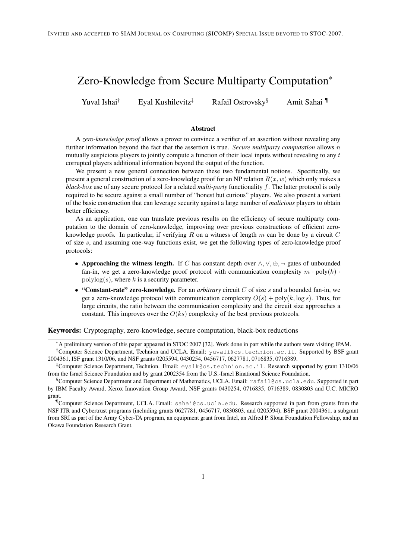# Zero-Knowledge from Secure Multiparty Computation<sup>∗</sup>

Yuval Ishai<sup>†</sup> Eyal Kushilevitz<sup>‡</sup> Rafail Ostrovsky<sup>§</sup> Amit Sahai

#### Abstract

A *zero-knowledge proof* allows a prover to convince a verifier of an assertion without revealing any further information beyond the fact that the assertion is true. *Secure multiparty computation* allows n mutually suspicious players to jointly compute a function of their local inputs without revealing to any  $t$ corrupted players additional information beyond the output of the function.

We present a new general connection between these two fundamental notions. Specifically, we present a general construction of a zero-knowledge proof for an NP relation  $R(x, w)$  which only makes a *black-box* use of any secure protocol for a related *multi-party* functionality f. The latter protocol is only required to be secure against a small number of "honest but curious" players. We also present a variant of the basic construction that can leverage security against a large number of *malicious* players to obtain better efficiency.

As an application, one can translate previous results on the efficiency of secure multiparty computation to the domain of zero-knowledge, improving over previous constructions of efficient zeroknowledge proofs. In particular, if verifying R on a witness of length m can be done by a circuit C of size s, and assuming one-way functions exist, we get the following types of zero-knowledge proof protocols:

- Approaching the witness length. If C has constant depth over  $\wedge, \vee, \oplus, \neg$  gates of unbounded fan-in, we get a zero-knowledge proof protocol with communication complexity  $m \cdot \text{poly}(k)$ .  $polylog(s)$ , where k is a security parameter.
- "Constant-rate" zero-knowledge. For an *arbitrary* circuit C of size s and a bounded fan-in, we get a zero-knowledge protocol with communication complexity  $O(s) + \text{poly}(k, \log s)$ . Thus, for large circuits, the ratio between the communication complexity and the circuit size approaches a constant. This improves over the  $O(ks)$  complexity of the best previous protocols.

### Keywords: Cryptography, zero-knowledge, secure computation, black-box reductions

<sup>∗</sup>A preliminary version of this paper appeared in STOC 2007 [32]. Work done in part while the authors were visiting IPAM.

<sup>†</sup>Computer Science Department, Technion and UCLA. Email: yuvali@cs.technion.ac.il. Supported by BSF grant 2004361, ISF grant 1310/06, and NSF grants 0205594, 0430254, 0456717, 0627781, 0716835, 0716389.

<sup>‡</sup>Computer Science Department, Technion. Email: eyalk@cs.technion.ac.il. Research supported by grant 1310/06 from the Israel Science Foundation and by grant 2002354 from the U.S.-Israel Binational Science Foundation.

<sup>§</sup>Computer Science Department and Department of Mathematics, UCLA. Email: rafail@cs.ucla.edu. Supported in part by IBM Faculty Award, Xerox Innovation Group Award, NSF grants 0430254, 0716835, 0716389, 0830803 and U.C. MICRO grant.

<sup>¶</sup>Computer Science Department, UCLA. Email: sahai@cs.ucla.edu. Research supported in part from grants from the NSF ITR and Cybertrust programs (including grants 0627781, 0456717, 0830803, and 0205594), BSF grant 2004361, a subgrant from SRI as part of the Army Cyber-TA program, an equipment grant from Intel, an Alfred P. Sloan Foundation Fellowship, and an Okawa Foundation Research Grant.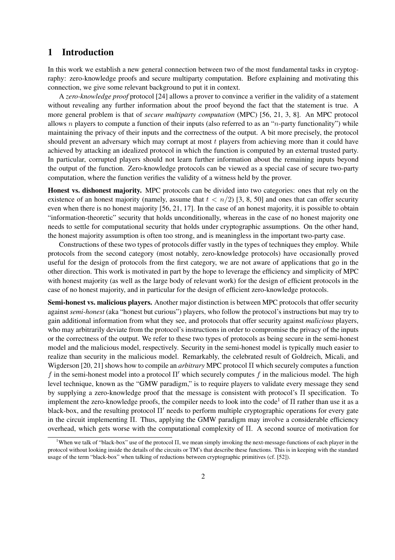## 1 Introduction

In this work we establish a new general connection between two of the most fundamental tasks in cryptography: zero-knowledge proofs and secure multiparty computation. Before explaining and motivating this connection, we give some relevant background to put it in context.

A *zero-knowledge proof* protocol [24] allows a prover to convince a verifier in the validity of a statement without revealing any further information about the proof beyond the fact that the statement is true. A more general problem is that of *secure multiparty computation* (MPC) [56, 21, 3, 8]. An MPC protocol allows n players to compute a function of their inputs (also referred to as an "n-party functionality") while maintaining the privacy of their inputs and the correctness of the output. A bit more precisely, the protocol should prevent an adversary which may corrupt at most t players from achieving more than it could have achieved by attacking an idealized protocol in which the function is computed by an external trusted party. In particular, corrupted players should not learn further information about the remaining inputs beyond the output of the function. Zero-knowledge protocols can be viewed as a special case of secure two-party computation, where the function verifies the validity of a witness held by the prover.

Honest vs. dishonest majority. MPC protocols can be divided into two categories: ones that rely on the existence of an honest majority (namely, assume that  $t < n/2$ ) [3, 8, 50] and ones that can offer security even when there is no honest majority [56, 21, 17]. In the case of an honest majority, it is possible to obtain "information-theoretic" security that holds unconditionally, whereas in the case of no honest majority one needs to settle for computational security that holds under cryptographic assumptions. On the other hand, the honest majority assumption is often too strong, and is meaningless in the important two-party case.

Constructions of these two types of protocols differ vastly in the types of techniques they employ. While protocols from the second category (most notably, zero-knowledge protocols) have occasionally proved useful for the design of protocols from the first category, we are not aware of applications that go in the other direction. This work is motivated in part by the hope to leverage the efficiency and simplicity of MPC with honest majority (as well as the large body of relevant work) for the design of efficient protocols in the case of no honest majority, and in particular for the design of efficient zero-knowledge protocols.

Semi-honest vs. malicious players. Another major distinction is between MPC protocols that offer security against *semi-honest* (aka "honest but curious") players, who follow the protocol's instructions but may try to gain additional information from what they see, and protocols that offer security against *malicious* players, who may arbitrarily deviate from the protocol's instructions in order to compromise the privacy of the inputs or the correctness of the output. We refer to these two types of protocols as being secure in the semi-honest model and the malicious model, respectively. Security in the semi-honest model is typically much easier to realize than security in the malicious model. Remarkably, the celebrated result of Goldreich, Micali, and Wigderson [20, 21] shows how to compile an *arbitrary* MPC protocol Π which securely computes a function f in the semi-honest model into a protocol  $\Pi'$  which securely computes f in the malicious model. The high level technique, known as the "GMW paradigm," is to require players to validate every message they send by supplying a zero-knowledge proof that the message is consistent with protocol's Π specification. To implement the zero-knowledge proofs, the compiler needs to look into the code<sup>1</sup> of  $\Pi$  rather than use it as a black-box, and the resulting protocol  $\Pi'$  needs to perform multiple cryptographic operations for every gate in the circuit implementing Π. Thus, applying the GMW paradigm may involve a considerable efficiency overhead, which gets worse with the computational complexity of Π. A second source of motivation for

<sup>&</sup>lt;sup>1</sup>When we talk of "black-box" use of the protocol  $\Pi$ , we mean simply invoking the next-message-functions of each player in the protocol without looking inside the details of the circuits or TM's that describe these functions. This is in keeping with the standard usage of the term "black-box" when talking of reductions between cryptographic primitives (cf. [52]).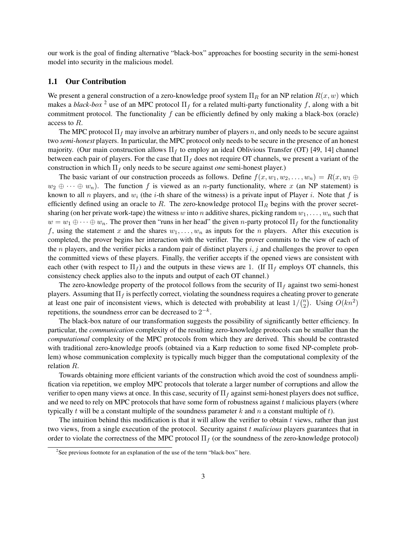our work is the goal of finding alternative "black-box" approaches for boosting security in the semi-honest model into security in the malicious model.

### 1.1 Our Contribution

We present a general construction of a zero-knowledge proof system  $\Pi_R$  for an NP relation  $R(x, w)$  which makes a *black-box* <sup>2</sup> use of an MPC protocol  $\Pi_f$  for a related multi-party functionality f, along with a bit commitment protocol. The functionality  $f$  can be efficiently defined by only making a black-box (oracle) access to R.

The MPC protocol  $\Pi_f$  may involve an arbitrary number of players n, and only needs to be secure against two *semi-honest* players. In particular, the MPC protocol only needs to be secure in the presence of an honest majority. (Our main construction allows  $\Pi_f$  to employ an ideal Oblivious Transfer (OT) [49, 14] channel between each pair of players. For the case that  $\Pi_f$  does not require OT channels, we present a variant of the construction in which  $\Pi_f$  only needs to be secure against *one* semi-honest player.)

The basic variant of our construction proceeds as follows. Define  $f(x, w_1, w_2, \ldots, w_n) = R(x, w_1 \oplus w_2, \ldots, w_n)$  $w_2 \oplus \cdots \oplus w_n$ ). The function f is viewed as an n-party functionality, where x (an NP statement) is known to all n players, and  $w_i$  (the *i*-th share of the witness) is a private input of Player *i*. Note that f is efficiently defined using an oracle to R. The zero-knowledge protocol  $\Pi_R$  begins with the prover secretsharing (on her private work-tape) the witness w into n additive shares, picking random  $w_1, \ldots, w_n$  such that  $w = w_1 \oplus \cdots \oplus w_n$ . The prover then "runs in her head" the given *n*-party protocol  $\Pi_f$  for the functionality f, using the statement x and the shares  $w_1, \ldots, w_n$  as inputs for the n players. After this execution is completed, the prover begins her interaction with the verifier. The prover commits to the view of each of the *n* players, and the verifier picks a random pair of distinct players  $i, j$  and challenges the prover to open the committed views of these players. Finally, the verifier accepts if the opened views are consistent with each other (with respect to  $\Pi_f$ ) and the outputs in these views are 1. (If  $\Pi_f$  employs OT channels, this consistency check applies also to the inputs and output of each OT channel.)

The zero-knowledge property of the protocol follows from the security of  $\Pi_f$  against two semi-honest players. Assuming that  $\Pi_f$  is perfectly correct, violating the soundness requires a cheating prover to generate at least one pair of inconsistent views, which is detected with probability at least  $1/\binom{n}{2}$  $_{2}^{n}$ ). Using  $O(kn^2)$ repetitions, the soundness error can be decreased to  $2^{-k}$ .

The black-box nature of our transformation suggests the possibility of significantly better efficiency. In particular, the *communication* complexity of the resulting zero-knowledge protocols can be smaller than the *computational* complexity of the MPC protocols from which they are derived. This should be contrasted with traditional zero-knowledge proofs (obtained via a Karp reduction to some fixed NP-complete problem) whose communication complexity is typically much bigger than the computational complexity of the relation R.

Towards obtaining more efficient variants of the construction which avoid the cost of soundness amplification via repetition, we employ MPC protocols that tolerate a larger number of corruptions and allow the verifier to open many views at once. In this case, security of  $\Pi_f$  against semi-honest players does not suffice, and we need to rely on MPC protocols that have some form of robustness against  $t$  malicious players (where typically t will be a constant multiple of the soundness parameter k and n a constant multiple of t).

The intuition behind this modification is that it will allow the verifier to obtain  $t$  views, rather than just two views, from a single execution of the protocol. Security against t *malicious* players guarantees that in order to violate the correctness of the MPC protocol  $\Pi_f$  (or the soundness of the zero-knowledge protocol)

<sup>&</sup>lt;sup>2</sup>See previous footnote for an explanation of the use of the term "black-box" here.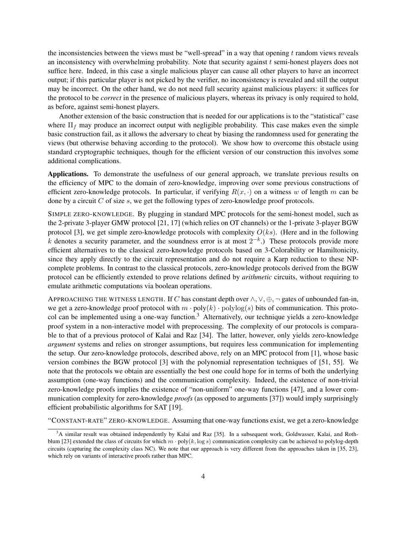the inconsistencies between the views must be "well-spread" in a way that opening  $t$  random views reveals an inconsistency with overwhelming probability. Note that security against  $t$  semi-honest players does not suffice here. Indeed, in this case a single malicious player can cause all other players to have an incorrect output; if this particular player is not picked by the verifier, no inconsistency is revealed and still the output may be incorrect. On the other hand, we do not need full security against malicious players: it suffices for the protocol to be *correct* in the presence of malicious players, whereas its privacy is only required to hold, as before, against semi-honest players.

Another extension of the basic construction that is needed for our applications is to the "statistical" case where  $\Pi_f$  may produce an incorrect output with negligible probability. This case makes even the simple basic construction fail, as it allows the adversary to cheat by biasing the randomness used for generating the views (but otherwise behaving according to the protocol). We show how to overcome this obstacle using standard cryptographic techniques, though for the efficient version of our construction this involves some additional complications.

Applications. To demonstrate the usefulness of our general approach, we translate previous results on the efficiency of MPC to the domain of zero-knowledge, improving over some previous constructions of efficient zero-knowledge protocols. In particular, if verifying  $R(x, \cdot)$  on a witness w of length m can be done by a circuit  $C$  of size  $s$ , we get the following types of zero-knowledge proof protocols.

SIMPLE ZERO-KNOWLEDGE. By plugging in standard MPC protocols for the semi-honest model, such as the 2-private 3-player GMW protocol [21, 17] (which relies on OT channels) or the 1-private 3-player BGW protocol [3], we get simple zero-knowledge protocols with complexity  $O(ks)$ . (Here and in the following k denotes a security parameter, and the soundness error is at most  $2^{-k}$ .) These protocols provide more efficient alternatives to the classical zero-knowledge protocols based on 3-Colorability or Hamiltonicity, since they apply directly to the circuit representation and do not require a Karp reduction to these NPcomplete problems. In contrast to the classical protocols, zero-knowledge protocols derived from the BGW protocol can be efficiently extended to prove relations defined by *arithmetic* circuits, without requiring to emulate arithmetic computations via boolean operations.

APPROACHING THE WITNESS LENGTH. If C has constant depth over  $\wedge$ ,  $\vee$ ,  $\oplus$ ,  $\neg$  gates of unbounded fan-in, we get a zero-knowledge proof protocol with  $m \cdot \text{poly}(k) \cdot \text{polylog}(s)$  bits of communication. This protocol can be implemented using a one-way function.<sup>3</sup> Alternatively, our technique yields a zero-knowledge proof system in a non-interactive model with preprocessing. The complexity of our protocols is comparable to that of a previous protocol of Kalai and Raz [34]. The latter, however, only yields zero-knowledge *argument* systems and relies on stronger assumptions, but requires less communication for implementing the setup. Our zero-knowledge protocols, described above, rely on an MPC protocol from [1], whose basic version combines the BGW protocol [3] with the polynomial representation techniques of [51, 55]. We note that the protocols we obtain are essentially the best one could hope for in terms of both the underlying assumption (one-way functions) and the communication complexity. Indeed, the existence of non-trivial zero-knowledge proofs implies the existence of "non-uniform" one-way functions [47], and a lower communication complexity for zero-knowledge *proofs* (as opposed to arguments [37]) would imply surprisingly efficient probabilistic algorithms for SAT [19].

"CONSTANT-RATE" ZERO-KNOWLEDGE. Assuming that one-way functions exist, we get a zero-knowledge

<sup>&</sup>lt;sup>3</sup>A similar result was obtained independently by Kalai and Raz [35]. In a subsequent work, Goldwasser, Kalai, and Rothblum [23] extended the class of circuits for which  $m \cdot poly(k, \log s)$  communication complexity can be achieved to polylog-depth circuits (capturing the complexity class NC). We note that our approach is very different from the approaches taken in [35, 23], which rely on variants of interactive proofs rather than MPC.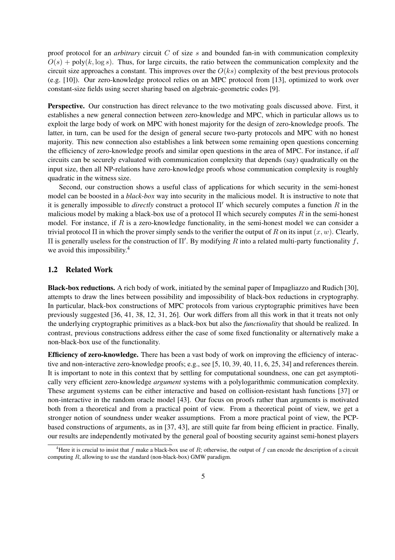proof protocol for an *arbitrary* circuit C of size s and bounded fan-in with communication complexity  $O(s)$  + poly(k, log s). Thus, for large circuits, the ratio between the communication complexity and the circuit size approaches a constant. This improves over the  $O(ks)$  complexity of the best previous protocols (e.g. [10]). Our zero-knowledge protocol relies on an MPC protocol from [13], optimized to work over constant-size fields using secret sharing based on algebraic-geometric codes [9].

Perspective. Our construction has direct relevance to the two motivating goals discussed above. First, it establishes a new general connection between zero-knowledge and MPC, which in particular allows us to exploit the large body of work on MPC with honest majority for the design of zero-knowledge proofs. The latter, in turn, can be used for the design of general secure two-party protocols and MPC with no honest majority. This new connection also establishes a link between some remaining open questions concerning the efficiency of zero-knowledge proofs and similar open questions in the area of MPC. For instance, if *all* circuits can be securely evaluated with communication complexity that depends (say) quadratically on the input size, then all NP-relations have zero-knowledge proofs whose communication complexity is roughly quadratic in the witness size.

Second, our construction shows a useful class of applications for which security in the semi-honest model can be boosted in a *black-box* way into security in the malicious model. It is instructive to note that it is generally impossible to *directly* construct a protocol  $\Pi'$  which securely computes a function R in the malicious model by making a black-box use of a protocol  $\Pi$  which securely computes  $R$  in the semi-honest model. For instance, if  $R$  is a zero-knowledge functionality, in the semi-honest model we can consider a trivial protocol  $\Pi$  in which the prover simply sends to the verifier the output of R on its input  $(x, w)$ . Clearly, II is generally useless for the construction of Π'. By modifying R into a related multi-party functionality f, we avoid this impossibility.<sup>4</sup>

## 1.2 Related Work

Black-box reductions. A rich body of work, initiated by the seminal paper of Impagliazzo and Rudich [30], attempts to draw the lines between possibility and impossibility of black-box reductions in cryptography. In particular, black-box constructions of MPC protocols from various cryptographic primitives have been previously suggested [36, 41, 38, 12, 31, 26]. Our work differs from all this work in that it treats not only the underlying cryptographic primitives as a black-box but also the *functionality* that should be realized. In contrast, previous constructions address either the case of some fixed functionality or alternatively make a non-black-box use of the functionality.

Efficiency of zero-knowledge. There has been a vast body of work on improving the efficiency of interactive and non-interactive zero-knowledge proofs; e.g., see [5, 10, 39, 40, 11, 6, 25, 34] and references therein. It is important to note in this context that by settling for computational soundness, one can get asymptotically very efficient zero-knowledge *argument* systems with a polylogarithmic communication complexity. These argument systems can be either interactive and based on collision-resistant hash functions [37] or non-interactive in the random oracle model [43]. Our focus on proofs rather than arguments is motivated both from a theoretical and from a practical point of view. From a theoretical point of view, we get a stronger notion of soundness under weaker assumptions. From a more practical point of view, the PCPbased constructions of arguments, as in [37, 43], are still quite far from being efficient in practice. Finally, our results are independently motivated by the general goal of boosting security against semi-honest players

<sup>&</sup>lt;sup>4</sup>Here it is crucial to insist that f make a black-box use of R; otherwise, the output of f can encode the description of a circuit computing  $R$ , allowing to use the standard (non-black-box) GMW paradigm.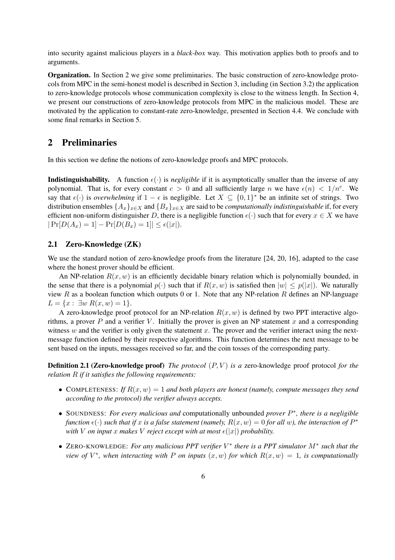into security against malicious players in a *black-box* way. This motivation applies both to proofs and to arguments.

Organization. In Section 2 we give some preliminaries. The basic construction of zero-knowledge protocols from MPC in the semi-honest model is described in Section 3, including (in Section 3.2) the application to zero-knowledge protocols whose communication complexity is close to the witness length. In Section 4, we present our constructions of zero-knowledge protocols from MPC in the malicious model. These are motivated by the application to constant-rate zero-knowledge, presented in Section 4.4. We conclude with some final remarks in Section 5.

# 2 Preliminaries

In this section we define the notions of zero-knowledge proofs and MPC protocols.

**Indistinguishability.** A function  $\epsilon(\cdot)$  is *negligible* if it is asymptotically smaller than the inverse of any polynomial. That is, for every constant  $c > 0$  and all sufficiently large n we have  $\epsilon(n) < 1/n^c$ . We say that  $\epsilon(\cdot)$  is *overwhelming* if  $1 - \epsilon$  is negligible. Let  $X \subseteq \{0,1\}^*$  be an infinite set of strings. Two distribution ensembles  $\{A_x\}_{x\in X}$  and  $\{B_x\}_{x\in X}$  are said to be *computationally indistinguishable* if, for every efficient non-uniform distinguisher D, there is a negligible function  $\epsilon(\cdot)$  such that for every  $x \in X$  we have  $|Pr[D(A_x) = 1] - Pr[D(B_x) = 1]| \leq \epsilon(|x|).$ 

### 2.1 Zero-Knowledge (ZK)

We use the standard notion of zero-knowledge proofs from the literature [24, 20, 16], adapted to the case where the honest prover should be efficient.

An NP-relation  $R(x, w)$  is an efficiently decidable binary relation which is polynomially bounded, in the sense that there is a polynomial  $p(\cdot)$  such that if  $R(x, w)$  is satisfied then  $|w| \leq p(|x|)$ . We naturally view R as a boolean function which outputs 0 or 1. Note that any NP-relation R defines an NP-language  $L = \{x : \exists w \; R(x, w) = 1\}.$ 

A zero-knowledge proof protocol for an NP-relation  $R(x, w)$  is defined by two PPT interactive algorithms, a prover  $P$  and a verifier  $V$ . Initially the prover is given an NP statement  $x$  and a corresponding witness  $w$  and the verifier is only given the statement  $x$ . The prover and the verifier interact using the nextmessage function defined by their respective algorithms. This function determines the next message to be sent based on the inputs, messages received so far, and the coin tosses of the corresponding party.

**Definition 2.1 (Zero-knowledge proof)** *The protocol*  $(P, V)$  *is a* zero-knowledge proof protocol *for the relation* R *if it satisfies the following requirements:*

- COMPLETENESS: If  $R(x, w) = 1$  and both players are honest (namely, compute messages they send *according to the protocol) the verifier always accepts.*
- SOUNDNESS: *For every malicious and* computationally unbounded *prover* P ∗ *, there is a negligible function*  $\epsilon(\cdot)$  *such that if* x *is a false statement* (namely,  $R(x, w) = 0$  *for all w*), the interaction of  $P^*$ *with V on input x makes V reject except* with *at most*  $\epsilon(|x|)$  *probability.*
- ZERO-KNOWLEDGE: *For any malicious PPT verifier* V ∗ *there is a PPT simulator* M<sup>∗</sup> *such that the view of*  $V^*$ , when interacting with P on inputs  $(x, w)$  for which  $R(x, w) = 1$ , is computationally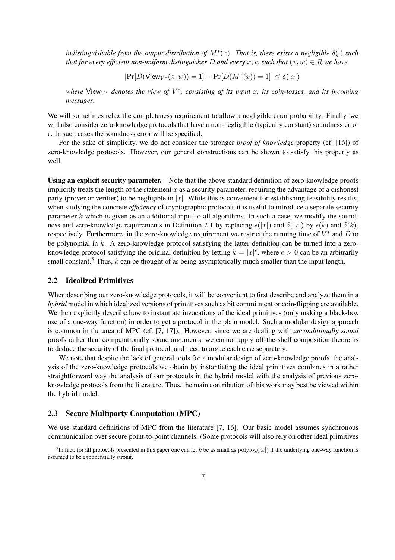*indistinguishable from the output distribution of*  $M^*(x)$ *. That is, there exists a negligible*  $\delta(\cdot)$  *such that for every efficient non-uniform distinguisher* D and every x, w such that  $(x, w) \in R$  we have

$$
|\Pr[D(\text{View}_{V^*}(x, w)) = 1] - \Pr[D(M^*(x)) = 1]| \le \delta(|x|)
$$

 $where$  View<sub>V<sup>\*</sup></sub> denotes the view of  $V^*$ , consisting of its input x, its coin-tosses, and its incoming *messages.*

We will sometimes relax the completeness requirement to allow a negligible error probability. Finally, we will also consider zero-knowledge protocols that have a non-negligible (typically constant) soundness error  $\epsilon$ . In such cases the soundness error will be specified.

For the sake of simplicity, we do not consider the stronger *proof of knowledge* property (cf. [16]) of zero-knowledge protocols. However, our general constructions can be shown to satisfy this property as well.

Using an explicit security parameter. Note that the above standard definition of zero-knowledge proofs implicitly treats the length of the statement  $x$  as a security parameter, requiring the advantage of a dishonest party (prover or verifier) to be negligible in  $|x|$ . While this is convenient for establishing feasibility results, when studying the concrete *efficiency* of cryptographic protocols it is useful to introduce a separate security parameter  $k$  which is given as an additional input to all algorithms. In such a case, we modify the soundness and zero-knowledge requirements in Definition 2.1 by replacing  $\epsilon(|x|)$  and  $\delta(|x|)$  by  $\epsilon(k)$  and  $\delta(k)$ , respectively. Furthermore, in the zero-knowledge requirement we restrict the running time of  $V^*$  and  $D$  to be polynomial in k. A zero-knowledge protocol satisfying the latter definition can be turned into a zeroknowledge protocol satisfying the original definition by letting  $k = |x|^c$ , where  $c > 0$  can be an arbitrarily small constant.<sup>5</sup> Thus,  $k$  can be thought of as being asymptotically much smaller than the input length.

### 2.2 Idealized Primitives

When describing our zero-knowledge protocols, it will be convenient to first describe and analyze them in a *hybrid* model in which idealized versions of primitives such as bit commitment or coin-flipping are available. We then explicitly describe how to instantiate invocations of the ideal primitives (only making a black-box use of a one-way function) in order to get a protocol in the plain model. Such a modular design approach is common in the area of MPC (cf. [7, 17]). However, since we are dealing with *unconditionally sound* proofs rather than computationally sound arguments, we cannot apply off-the-shelf composition theorems to deduce the security of the final protocol, and need to argue each case separately.

We note that despite the lack of general tools for a modular design of zero-knowledge proofs, the analysis of the zero-knowledge protocols we obtain by instantiating the ideal primitives combines in a rather straightforward way the analysis of our protocols in the hybrid model with the analysis of previous zeroknowledge protocols from the literature. Thus, the main contribution of this work may best be viewed within the hybrid model.

### 2.3 Secure Multiparty Computation (MPC)

We use standard definitions of MPC from the literature [7, 16]. Our basic model assumes synchronous communication over secure point-to-point channels. (Some protocols will also rely on other ideal primitives

<sup>&</sup>lt;sup>5</sup>In fact, for all protocols presented in this paper one can let k be as small as  $polylog(|x|)$  if the underlying one-way function is assumed to be exponentially strong.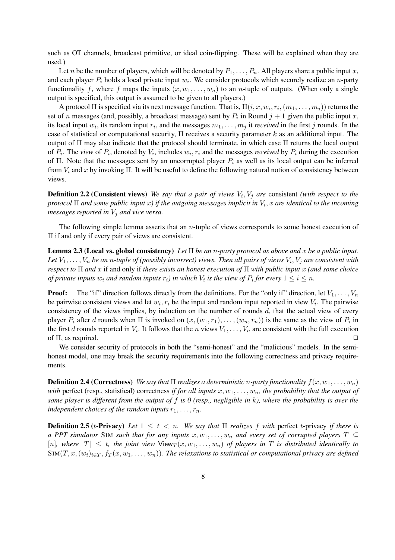such as OT channels, broadcast primitive, or ideal coin-flipping. These will be explained when they are used.)

Let n be the number of players, which will be denoted by  $P_1, \ldots, P_n$ . All players share a public input x, and each player  $P_i$  holds a local private input  $w_i$ . We consider protocols which securely realize an *n*-party functionality f, where f maps the inputs  $(x, w_1, \ldots, w_n)$  to an *n*-tuple of outputs. (When only a single output is specified, this output is assumed to be given to all players.)

A protocol  $\Pi$  is specified via its next message function. That is,  $\Pi(i, x, w_i, r_i, (m_1, \ldots, m_j))$  returns the set of n messages (and, possibly, a broadcast message) sent by  $P_i$  in Round  $j + 1$  given the public input x, its local input  $w_i$ , its random input  $r_i$ , and the messages  $m_1, \ldots, m_j$  it *received* in the first j rounds. In the case of statistical or computational security,  $\Pi$  receives a security parameter k as an additional input. The output of Π may also indicate that the protocol should terminate, in which case Π returns the local output of  $P_i$ . The *view* of  $P_i$ , denoted by  $V_i$ , includes  $w_i, r_i$  and the messages *received* by  $P_i$  during the execution of Π. Note that the messages sent by an uncorrupted player  $P_i$  as well as its local output can be inferred from  $V_i$  and x by invoking  $\Pi$ . It will be useful to define the following natural notion of consistency between views.

**Definition 2.2 (Consistent views)** We say that a pair of views  $V_i$ ,  $V_j$  are consistent *(with respect to the protocol* Π *and some public input* x*) if the outgoing messages implicit in* V<sup>i</sup> , x *are identical to the incoming messages reported in*  $V_i$  *and vice versa.* 

The following simple lemma asserts that an  $n$ -tuple of views corresponds to some honest execution of Π if and only if every pair of views are consistent.

Lemma 2.3 (Local vs. global consistency) *Let* Π *be an* n*-party protocol as above and* x *be a public input.* Let  $V_1,\ldots,V_n$  be an n-tuple of (possibly incorrect) views. Then all pairs of views  $V_i,V_j$  are consistent with *respect to* Π *and* x if and only if *there exists an honest execution of* Π *with public input* x *(and some choice of private inputs*  $w_i$  *and random inputs*  $r_i$ *) in which*  $V_i$  *is the view of*  $P_i$  *for every*  $1 \leq i \leq n$ *.* 

**Proof:** The "if" direction follows directly from the definitions. For the "only if" direction, let  $V_1, \ldots, V_n$ be pairwise consistent views and let  $w_i, r_i$  be the input and random input reported in view  $V_i$ . The pairwise consistency of the views implies, by induction on the number of rounds  $d$ , that the actual view of every player  $P_i$  after d rounds when  $\Pi$  is invoked on  $(x,(w_1,r_1),\ldots,(w_n,r_n))$  is the same as the view of  $P_i$  in the first d rounds reported in  $V_i$ . It follows that the n views  $V_1, \ldots, V_n$  are consistent with the full execution of  $\Pi$ , as required.  $\Box$ 

We consider security of protocols in both the "semi-honest" and the "malicious" models. In the semihonest model, one may break the security requirements into the following correctness and privacy requirements.

**Definition 2.4 (Correctness)** *We say that*  $\Pi$  *realizes a deterministic n-party functionality*  $f(x, w_1, \ldots, w_n)$ *with* perfect (resp., statistical) correctness *if for all inputs*  $x, w_1, \ldots, w_n$ , the probability that the output of *some player is different from the output of* f *is 0 (resp., negligible in* k*), where the probability is over the independent choices of the random inputs*  $r_1, \ldots, r_n$ .

**Definition 2.5** (t-Privacy) Let  $1 \leq t \leq n$ . We say that  $\Pi$  realizes f with perfect t-privacy if there is *a PPT simulator* SIM *such that for any inputs*  $x, w_1, \ldots, w_n$  *and every set of corrupted players*  $T \subseteq$ [n], where  $|T| \leq t$ , the joint view  $\mathsf{View}_T(x, w_1, \ldots, w_n)$  of players in T is distributed identically to  $\text{Sim}(T, x, (w_i)_{i \in T}, f_T(x, w_1, \ldots, w_n))$ *. The relaxations to statistical or computational privacy are defined*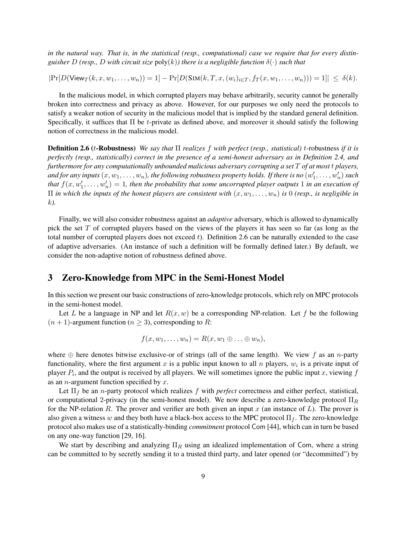*in the natural way. That is, in the statistical (resp., computational) case we require that for every distinguisher* D (resp., D with circuit size  $poly(k)$ ) there is a negligible function  $\delta(\cdot)$  *such that* 

 $|\Pr[D(\mathsf{View}_T(k, x, w_1, \ldots, w_n)) = 1] - \Pr[D(\mathsf{SIM}(k, T, x, (w_i)_{i \in T}, f_T(x, w_1, \ldots, w_n))) = 1]| \leq \delta(k).$ 

In the malicious model, in which corrupted players may behave arbitrarily, security cannot be generally broken into correctness and privacy as above. However, for our purposes we only need the protocols to satisfy a weaker notion of security in the malicious model that is implied by the standard general definition. Specifically, it suffices that  $\Pi$  be t-private as defined above, and moreover it should satisfy the following notion of correctness in the malicious model.

Definition 2.6 (t-Robustness) *We say that* Π *realizes* f *with perfect (resp., statistical)* t-robustness *if it is perfectly (resp., statistically) correct in the presence of a semi-honest adversary as in Definition 2.4, and furthermore for any computationally unbounded malicious adversary corrupting a set* T *of at most* t *players,* and for any inputs  $(x, w_1, \dots, w_n)$ , the following robustness property holds. If there is no  $(w_1', \dots, w_n')$  such that  $f(x, w_1', \ldots, w_n') = 1$ , then the probability that some uncorrupted player outputs 1 in an execution of  $\Pi$  *in which the inputs of the honest players are consistent with*  $(x, w_1, \ldots, w_n)$  *is* 0 *(resp., is negligible in* k*).*

Finally, we will also consider robustness against an *adaptive* adversary, which is allowed to dynamically pick the set  $T$  of corrupted players based on the views of the players it has seen so far (as long as the total number of corrupted players does not exceed  $t$ ). Definition 2.6 can be naturally extended to the case of adaptive adversaries. (An instance of such a definition will be formally defined later.) By default, we consider the non-adaptive notion of robustness defined above.

## 3 Zero-Knowledge from MPC in the Semi-Honest Model

In this section we present our basic constructions of zero-knowledge protocols, which rely on MPC protocols in the semi-honest model.

Let L be a language in NP and let  $R(x, w)$  be a corresponding NP-relation. Let f be the following  $(n + 1)$ -argument function  $(n \geq 3)$ , corresponding to R:

$$
f(x, w_1, \ldots, w_n) = R(x, w_1 \oplus \ldots \oplus w_n),
$$

where  $\oplus$  here denotes bitwise exclusive-or of strings (all of the same length). We view f as an n-party functionality, where the first argument x is a public input known to all  $n$  players,  $w_i$  is a private input of player  $P_i$ , and the output is received by all players. We will sometimes ignore the public input x, viewing  $f$ as an *n*-argument function specified by  $x$ .

Let  $\Pi_f$  be an *n*-party protocol which realizes f with *perfect* correctness and either perfect, statistical, or computational 2-privacy (in the semi-honest model). We now describe a zero-knowledge protocol  $\Pi_R$ for the NP-relation R. The prover and verifier are both given an input x (an instance of  $L$ ). The prover is also given a witness w and they both have a black-box access to the MPC protocol  $\Pi_f$ . The zero-knowledge protocol also makes use of a statistically-binding *commitment* protocol Com [44], which can in turn be based on any one-way function [29, 16].

We start by describing and analyzing  $\Pi_R$  using an idealized implementation of Com, where a string can be committed to by secretly sending it to a trusted third party, and later opened (or "decommitted") by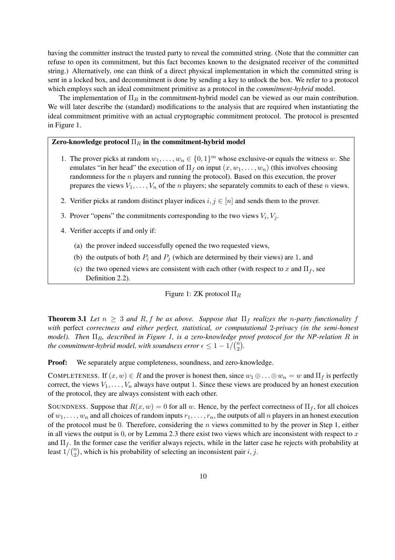having the committer instruct the trusted party to reveal the committed string. (Note that the committer can refuse to open its commitment, but this fact becomes known to the designated receiver of the committed string.) Alternatively, one can think of a direct physical implementation in which the committed string is sent in a locked box, and decommitment is done by sending a key to unlock the box. We refer to a protocol which employs such an ideal commitment primitive as a protocol in the *commitment-hybrid* model.

The implementation of  $\Pi_R$  in the commitment-hybrid model can be viewed as our main contribution. We will later describe the (standard) modifications to the analysis that are required when instantiating the ideal commitment primitive with an actual cryptographic commitment protocol. The protocol is presented in Figure 1.

## Zero-knowledge protocol  $\Pi_R$  in the commitment-hybrid model

- 1. The prover picks at random  $w_1, \ldots, w_n \in \{0, 1\}^m$  whose exclusive-or equals the witness w. She emulates "in her head" the execution of  $\Pi_f$  on input  $(x, w_1, \ldots, w_n)$  (this involves choosing randomness for the n players and running the protocol). Based on this execution, the prover prepares the views  $V_1, \ldots, V_n$  of the *n* players; she separately commits to each of these *n* views.
- 2. Verifier picks at random distinct player indices  $i, j \in [n]$  and sends them to the prover.
- 3. Prover "opens" the commitments corresponding to the two views  $V_i$ ,  $V_j$ .
- 4. Verifier accepts if and only if:
	- (a) the prover indeed successfully opened the two requested views,
	- (b) the outputs of both  $P_i$  and  $P_j$  (which are determined by their views) are 1, and
	- (c) the two opened views are consistent with each other (with respect to x and  $\Pi_f$ , see Definition 2.2).

## Figure 1: ZK protocol  $\Pi_R$

**Theorem 3.1** Let  $n \geq 3$  and R, f be as above. Suppose that  $\prod_f$  realizes the *n*-party functionality f *with* perfect *correctness and either perfect, statistical, or computational* 2*-privacy (in the semi-honest model*). Then  $\Pi_R$ , described in Figure 1, is a zero-knowledge proof protocol for the NP-relation R in *the commitment-hybrid model, with soundness error*  $\epsilon \leq 1 - 1/{\binom{n}{2}}$  $\binom{n}{2}$ .

Proof: We separately argue completeness, soundness, and zero-knowledge.

COMPLETENESS. If  $(x, w) \in R$  and the prover is honest then, since  $w_1 \oplus \ldots \oplus w_n = w$  and  $\Pi_f$  is perfectly correct, the views  $V_1, \ldots, V_n$  always have output 1. Since these views are produced by an honest execution of the protocol, they are always consistent with each other.

SOUNDNESS. Suppose that  $R(x, w) = 0$  for all w. Hence, by the perfect correctness of  $\Pi_f$ , for all choices of  $w_1, \ldots, w_n$  and all choices of random inputs  $r_1, \ldots, r_n$ , the outputs of all n players in an honest execution of the protocol must be 0. Therefore, considering the  $n$  views committed to by the prover in Step 1, either in all views the output is 0, or by Lemma 2.3 there exist two views which are inconsistent with respect to  $x$ and  $\Pi_f$ . In the former case the verifier always rejects, while in the latter case he rejects with probability at least  $1/(n_2$  $n_2$ , which is his probability of selecting an inconsistent pair i, j.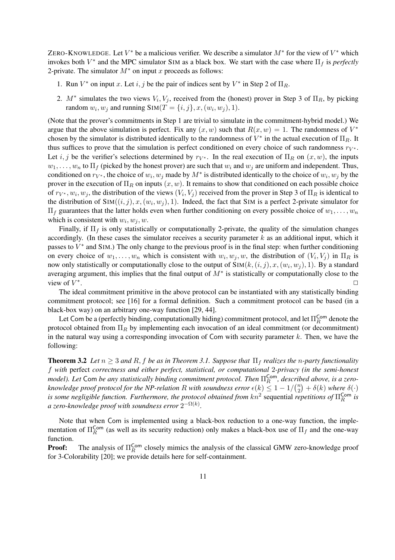ZERO-KNOWLEDGE. Let  $V^*$  be a malicious verifier. We describe a simulator  $M^*$  for the view of  $V^*$  which invokes both  $V^*$  and the MPC simulator SIM as a black box. We start with the case where  $\Pi_f$  is *perfectly* 2-private. The simulator  $M^*$  on input x proceeds as follows:

- 1. Run  $V^*$  on input x. Let  $i, j$  be the pair of indices sent by  $V^*$  in Step 2 of  $\Pi_R$ .
- 2.  $M^*$  simulates the two views  $V_i$ ,  $V_j$ , received from the (honest) prover in Step 3 of  $\Pi_R$ , by picking random  $w_i, w_j$  and running  $\text{SIM}(T = \{i, j\}, x, (w_i, w_j), 1).$

(Note that the prover's commitments in Step 1 are trivial to simulate in the commitment-hybrid model.) We argue that the above simulation is perfect. Fix any  $(x, w)$  such that  $R(x, w) = 1$ . The randomness of  $V^*$ chosen by the simulator is distributed identically to the randomness of  $V^*$  in the actual execution of  $\Pi_R$ . It thus suffices to prove that the simulation is perfect conditioned on every choice of such randomness  $r_{V^*}$ . Let i, j be the verifier's selections determined by  $r_{V^*}$ . In the real execution of  $\Pi_R$  on  $(x, w)$ , the inputs  $w_1, \ldots, w_n$  to  $\Pi_f$  (picked by the honest prover) are such that  $w_i$  and  $w_j$  are uniform and independent. Thus, conditioned on  $r_{V^*}$ , the choice of  $w_i, w_j$  made by  $M^*$  is distributed identically to the choice of  $w_i, w_j$  by the prover in the execution of  $\Pi_R$  on inputs  $(x, w)$ . It remains to show that conditioned on each possible choice of  $r_{V^*}, w_i, w_j$ , the distribution of the views  $(V_i, V_j)$  received from the prover in Step 3 of  $\Pi_R$  is identical to the distribution of  $\text{Sim}((i, j), x, (w_i, w_j), 1)$ . Indeed, the fact that SIM is a perfect 2-private simulator for  $\Pi_f$  guarantees that the latter holds even when further conditioning on every possible choice of  $w_1, \ldots, w_n$ which is consistent with  $w_i, w_j, w$ .

Finally, if  $\Pi_f$  is only statistically or computationally 2-private, the quality of the simulation changes accordingly. (In these cases the simulator receives a security parameter  $k$  as an additional input, which it passes to  $V^*$  and SIM.) The only change to the previous proof is in the final step: when further conditioning on every choice of  $w_1, \ldots, w_n$  which is consistent with  $w_i, w_j, w$ , the distribution of  $(V_i, V_j)$  in  $\Pi_R$  is now only statistically or computationally close to the output of  $Sim(k, (i, j), x, (w_i, w_j), 1)$ . By a standard averaging argument, this implies that the final output of  $M^*$  is statistically or computationally close to the view of  $V^*$ . ✷

The ideal commitment primitive in the above protocol can be instantiated with any statistically binding commitment protocol; see [16] for a formal definition. Such a commitment protocol can be based (in a black-box way) on an arbitrary one-way function [29, 44].

Let Com be a (perfectly binding, computationally hiding) commitment protocol, and let  $\Pi_R^{\sf Com}$  denote the protocol obtained from  $\Pi_R$  by implementing each invocation of an ideal commitment (or decommitment) in the natural way using a corresponding invocation of Com with security parameter  $k$ . Then, we have the following:

**Theorem 3.2** *Let*  $n \geq 3$  *and*  $R$ ,  $f$  *be as in Theorem 3.1. Suppose that*  $\Pi_f$  *realizes the n-party functionality* f *with* perfect *correctness and either perfect, statistical, or computational* 2*-privacy (in the semi-honest model). Let* Com *be any statistically binding commitment protocol. Then*  $\Pi_R^{\textsf{Com}}$ *, described above, is a zeroknowledge proof protocol for the NP-relation* R *with soundness error*  $\epsilon(k) \leq 1 - 1/2$ ru<br><sub>(</sub>n 2 α<br>∕  $+ \delta(k)$  *where*  $\delta(\cdot)$ *is some negligible function. Furthermore, the protocol obtained from*  $kn^2$  *sequential repetitions of*  $\Pi_R^{\text{Com}}$  is a zero-knowledge proof with soundness error  $2^{-\Omega(k)}.$ 

Note that when Com is implemented using a black-box reduction to a one-way function, the implementation of  $\Pi_R^{\text{Com}}$  (as well as its security reduction) only makes a black-box use of  $\Pi_f$  and the one-way function.

**Proof:** The analysis of  $\Pi_R^{\text{Com}}$  closely mimics the analysis of the classical GMW zero-knowledge proof for 3-Colorability [20]; we provide details here for self-containment.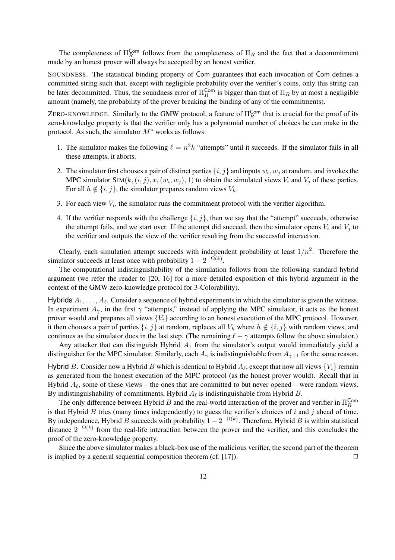The completeness of  $\Pi_R^{\text{Com}}$  follows from the completeness of  $\Pi_R$  and the fact that a decommitment made by an honest prover will always be accepted by an honest verifier.

SOUNDNESS. The statistical binding property of Com guarantees that each invocation of Com defines a committed string such that, except with negligible probability over the verifier's coins, only this string can be later decommitted. Thus, the soundness error of  $\Pi_R^{\text{Com}}$  is bigger than that of  $\Pi_R$  by at most a negligible amount (namely, the probability of the prover breaking the binding of any of the commitments).

ZERO-KNOWLEDGE. Similarly to the GMW protocol, a feature of  $\Pi_R^{\text{Com}}$  that is crucial for the proof of its zero-knowledge property is that the verifier only has a polynomial number of choices he can make in the protocol. As such, the simulator  $M^*$  works as follows:

- 1. The simulator makes the following  $\ell = n^2k$  "attempts" until it succeeds. If the simulator fails in all these attempts, it aborts.
- 2. The simulator first chooses a pair of distinct parties  $\{i, j\}$  and inputs  $w_i, w_j$  at random, and invokes the MPC simulator SIM( $k$ ,  $(i, j)$ ,  $x$ ,  $(w_i, w_j)$ , 1) to obtain the simulated views  $V_i$  and  $V_j$  of these parties. For all  $h \notin \{i, j\}$ , the simulator prepares random views  $V_h$ .
- 3. For each view  $V_i$ , the simulator runs the commitment protocol with the verifier algorithm.
- 4. If the verifier responds with the challenge  $\{i, j\}$ , then we say that the "attempt" succeeds, otherwise the attempt fails, and we start over. If the attempt did succeed, then the simulator opens  $V_i$  and  $V_j$  to the verifier and outputs the view of the verifier resulting from the successful interaction.

Clearly, each simulation attempt succeeds with independent probability at least  $1/n^2$ . Therefore the simulator succeeds at least once with probability  $1 - 2^{-\Omega(k)}$ .

The computational indistinguishability of the simulation follows from the following standard hybrid argument (we refer the reader to [20, 16] for a more detailed exposition of this hybrid argument in the context of the GMW zero-knowledge protocol for 3-Colorability).

Hybrids  $A_1, \ldots, A_\ell$ . Consider a sequence of hybrid experiments in which the simulator is given the witness. In experiment  $A_{\gamma}$ , in the first  $\gamma$  "attempts," instead of applying the MPC simulator, it acts as the honest prover would and prepares all views  ${V_i}$  according to an honest execution of the MPC protocol. However, it then chooses a pair of parties  $\{i, j\}$  at random, replaces all  $V_h$  where  $h \notin \{i, j\}$  with random views, and continues as the simulator does in the last step. (The remaining  $\ell - \gamma$  attempts follow the above simulator.)

Any attacker that can distinguish Hybrid  $A_1$  from the simulator's output would immediately yield a distinguisher for the MPC simulator. Similarly, each  $A_{\gamma}$  is indistinguishable from  $A_{\gamma+1}$  for the same reason.

Hybrid B. Consider now a Hybrid B which is identical to Hybrid  $A_\ell$ , except that now all views  $\{V_i\}$  remain as generated from the honest execution of the MPC protocol (as the honest prover would). Recall that in Hybrid  $A_\ell$ , some of these views – the ones that are committed to but never opened – were random views. By indistinguishability of commitments, Hybrid  $A_\ell$  is indistinguishable from Hybrid B.

The only difference between Hybrid B and the real-world interaction of the prover and verifier in  $\Pi_R^{\text{Com}}$ is that Hybrid  $B$  tries (many times independently) to guess the verifier's choices of  $i$  and  $j$  ahead of time. By independence, Hybrid B succeeds with probability  $1-2^{-\Omega(k)}$ . Therefore, Hybrid B is within statistical distance  $2^{-\Omega(k)}$  from the real-life interaction between the prover and the verifier, and this concludes the proof of the zero-knowledge property.

Since the above simulator makes a black-box use of the malicious verifier, the second part of the theorem is implied by a general sequential composition theorem (cf. [17]).  $\Box$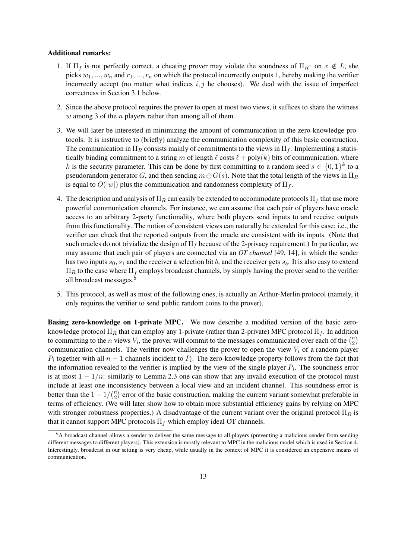#### Additional remarks:

- 1. If  $\Pi_f$  is not perfectly correct, a cheating prover may violate the soundness of  $\Pi_R$ : on  $x \notin L$ , she picks  $w_1, ..., w_n$  and  $r_1, ..., r_n$  on which the protocol incorrectly outputs 1, hereby making the verifier incorrectly accept (no matter what indices  $i, j$  he chooses). We deal with the issue of imperfect correctness in Section 3.1 below.
- 2. Since the above protocol requires the prover to open at most two views, it suffices to share the witness  $w$  among 3 of the  $n$  players rather than among all of them.
- 3. We will later be interested in minimizing the amount of communication in the zero-knowledge protocols. It is instructive to (briefly) analyze the communication complexity of this basic construction. The communication in  $\Pi_R$  consists mainly of commitments to the views in  $\Pi_f$ . Implementing a statistically binding commitment to a string m of length  $\ell$  costs  $\ell$  + poly(k) bits of communication, where k is the security parameter. This can be done by first committing to a random seed  $s \in \{0,1\}^k$  to a pseudorandom generator G, and then sending  $m \oplus G(s)$ . Note that the total length of the views in  $\Pi_R$ is equal to  $O(|w|)$  plus the communication and randomness complexity of  $\Pi_f$ .
- 4. The description and analysis of  $\Pi_R$  can easily be extended to accommodate protocols  $\Pi_f$  that use more powerful communication channels. For instance, we can assume that each pair of players have oracle access to an arbitrary 2-party functionality, where both players send inputs to and receive outputs from this functionality. The notion of consistent views can naturally be extended for this case; i.e., the verifier can check that the reported outputs from the oracle are consistent with its inputs. (Note that such oracles do not trivialize the design of  $\Pi_f$  because of the 2-privacy requirement.) In particular, we may assume that each pair of players are connected via an *OT channel* [49, 14], in which the sender has two inputs  $s_0$ ,  $s_1$  and the receiver a selection bit b, and the receiver gets  $s_b$ . It is also easy to extend  $\Pi_R$  to the case where  $\Pi_f$  employs broadcast channels, by simply having the prover send to the verifier all broadcast messages.<sup>6</sup>
- 5. This protocol, as well as most of the following ones, is actually an Arthur-Merlin protocol (namely, it only requires the verifier to send public random coins to the prover).

Basing zero-knowledge on 1-private MPC. We now describe a modified version of the basic zeroknowledge protocol  $\Pi_R$  that can employ any 1-private (rather than 2-private) MPC protocol  $\Pi_f$ . In addition knowledge protocol  $\Pi_R$  that can employ any 1-private (rather than 2-private) MPC protocol  $\Pi_f$ . In addition-2 communication channels. The verifier now challenges the prover to open the view  $V_i$  of a random player  $P_i$  together with all  $n-1$  channels incident to  $P_i$ . The zero-knowledge property follows from the fact that the information revealed to the verifier is implied by the view of the single player  $P_i$ . The soundness error is at most  $1 - \frac{1}{n}$ : similarly to Lemma 2.3 one can show that any invalid execution of the protocol must include at least one inconsistency between a local view and an incident channel. This soundness error is better than the  $1 - 1/\binom{n}{2}$  $n_2$ ) error of the basic construction, making the current variant somewhat preferable in terms of efficiency. (We will later show how to obtain more substantial efficiency gains by relying on MPC with stronger robustness properties.) A disadvantage of the current variant over the original protocol  $\Pi_R$  is that it cannot support MPC protocols  $\Pi_f$  which employ ideal OT channels.

<sup>6</sup>A broadcast channel allows a sender to deliver the same message to all players (preventing a malicious sender from sending different messages to different players). This extension is mostly relevant to MPC in the malicious model which is used in Section 4. Interestingly, broadcast in our setting is very cheap, while usually in the context of MPC it is considered an expensive means of communication.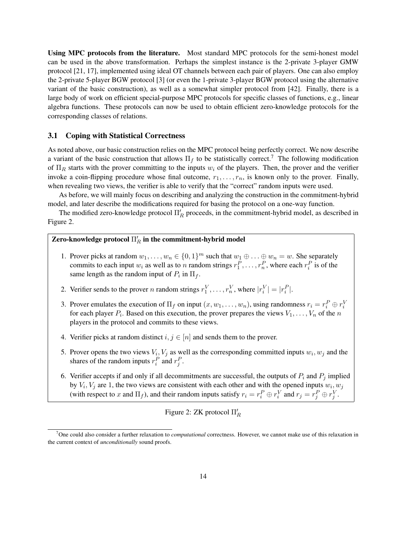Using MPC protocols from the literature. Most standard MPC protocols for the semi-honest model can be used in the above transformation. Perhaps the simplest instance is the 2-private 3-player GMW protocol [21, 17], implemented using ideal OT channels between each pair of players. One can also employ the 2-private 5-player BGW protocol [3] (or even the 1-private 3-player BGW protocol using the alternative variant of the basic construction), as well as a somewhat simpler protocol from [42]. Finally, there is a large body of work on efficient special-purpose MPC protocols for specific classes of functions, e.g., linear algebra functions. These protocols can now be used to obtain efficient zero-knowledge protocols for the corresponding classes of relations.

### 3.1 Coping with Statistical Correctness

As noted above, our basic construction relies on the MPC protocol being perfectly correct. We now describe a variant of the basic construction that allows  $\Pi_f$  to be statistically correct.<sup>7</sup> The following modification of  $\Pi_R$  starts with the prover committing to the inputs  $w_i$  of the players. Then, the prover and the verifier invoke a coin-flipping procedure whose final outcome,  $r_1, \ldots, r_n$ , is known only to the prover. Finally, when revealing two views, the verifier is able to verify that the "correct" random inputs were used.

As before, we will mainly focus on describing and analyzing the construction in the commitment-hybrid model, and later describe the modifications required for basing the protocol on a one-way function.

The modified zero-knowledge protocol  $\Pi'_R$  proceeds, in the commitment-hybrid model, as described in Figure 2.

# Zero-knowledge protocol  $\Pi_R'$  in the commitment-hybrid model

- 1. Prover picks at random  $w_1, \ldots, w_n \in \{0, 1\}^m$  such that  $w_1 \oplus \ldots \oplus w_n = w$ . She separately commits to each input  $w_i$  as well as to n random strings  $r_1^P, \ldots, r_n^P$ , where each  $r_i^P$  is of the same length as the random input of  $P_i$  in  $\Pi_f$ .
- 2. Verifier sends to the prover *n* random strings  $r_1^V, \ldots, r_n^V$ , where  $|r_i^V| = |r_i^P|$ .
- 3. Prover emulates the execution of  $\Pi_f$  on input  $(x, w_1, \dots, w_n)$ , using randomness  $r_i = r_i^P \oplus r_i^V$ for each player  $P_i$ . Based on this execution, the prover prepares the views  $V_1, \ldots, V_n$  of the n players in the protocol and commits to these views.
- 4. Verifier picks at random distinct  $i, j \in [n]$  and sends them to the prover.
- 5. Prover opens the two views  $V_i$ ,  $V_j$  as well as the corresponding committed inputs  $w_i$ ,  $w_j$  and the shares of the random inputs  $r_i^P$  and  $r_j^P$ .
- 6. Verifier accepts if and only if all decommitments are successful, the outputs of  $P_i$  and  $P_j$  implied by  $V_i$ ,  $V_j$  are 1, the two views are consistent with each other and with the opened inputs  $w_i$ ,  $w_j$ (with respect to x and  $\Pi_f$ ), and their random inputs satisfy  $r_i = r_i^P \oplus r_i^V$  and  $r_j = r_j^P \oplus r_j^V$ .

Figure 2: ZK protocol  $\Pi'_R$ 

<sup>7</sup>One could also consider a further relaxation to *computational* correctness. However, we cannot make use of this relaxation in the current context of *unconditionally* sound proofs.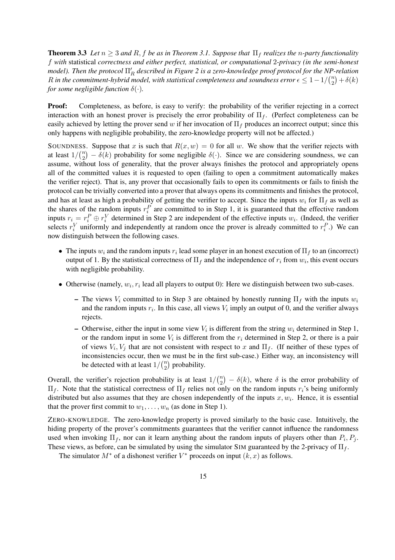**Theorem 3.3** Let  $n \geq 3$  and R, f be as in Theorem 3.1. Suppose that  $\Pi_f$  realizes the *n*-party functionality f *with* statistical *correctness and either perfect, statistical, or computational* 2*-privacy (in the semi-honest model*). Then the protocol  $\Pi'_R$  described in Figure 2 is a zero-knowledge proof protocol for the NP-relation R in the commitment-hybrid model, with statistical completeness and soundness error  $\epsilon \leq 1-1/\binom{n}{2}$  $\binom{n}{2} + \delta(k)$ *for some negligible function*  $\delta(\cdot)$ *.* 

**Proof:** Completeness, as before, is easy to verify: the probability of the verifier rejecting in a correct interaction with an honest prover is precisely the error probability of  $\Pi_f$ . (Perfect completeness can be easily achieved by letting the prover send w if her invocation of  $\Pi_f$  produces an incorrect output; since this only happens with negligible probability, the zero-knowledge property will not be affected.)

SOUNDNESS. Suppose that x is such that  $R(x, w) = 0$  for all w. We show that the verifier rejects with at least  $1/\binom{n}{2}$  $\binom{n}{2} - \delta(k)$  probability for some negligible  $\delta(\cdot)$ . Since we are considering soundness, we can assume, without loss of generality, that the prover always finishes the protocol and appropriately opens all of the committed values it is requested to open (failing to open a commitment automatically makes the verifier reject). That is, any prover that occasionally fails to open its commitments or fails to finish the protocol can be trivially converted into a prover that always opens its commitments and finishes the protocol, and has at least as high a probability of getting the verifier to accept. Since the inputs  $w_i$  for  $\Pi_f$  as well as the shares of the random inputs  $r_i^P$  are committed to in Step 1, it is guaranteed that the effective random inputs  $r_i = r_i^P \oplus r_i^V$  determined in Step 2 are independent of the effective inputs  $w_i$ . (Indeed, the verifier selects  $r_i^V$  uniformly and independently at random once the prover is already committed to  $r_i^P$ .) We can now distinguish between the following cases.

- The inputs  $w_i$  and the random inputs  $r_i$  lead some player in an honest execution of  $\Pi_f$  to an (incorrect) output of 1. By the statistical correctness of  $\Pi_f$  and the independence of  $r_i$  from  $w_i$ , this event occurs with negligible probability.
- Otherwise (namely,  $w_i, r_i$  lead all players to output 0): Here we distinguish between two sub-cases.
	- The views  $V_i$  committed to in Step 3 are obtained by honestly running  $\Pi_f$  with the inputs  $w_i$ and the random inputs  $r_i$ . In this case, all views  $V_i$  imply an output of 0, and the verifier always rejects.
	- Otherwise, either the input in some view  $V_i$  is different from the string  $w_i$  determined in Step 1, or the random input in some  $V_i$  is different from the  $r_i$  determined in Step 2, or there is a pair of views  $V_i$ ,  $V_j$  that are not consistent with respect to x and  $\Pi_f$ . (If neither of these types of inconsistencies occur, then we must be in the first sub-case.) Either way, an inconsistency will be detected with at least  $1/\binom{n}{2}$  $n \choose 2$  probability.

Overall, the verifier's rejection probability is at least 1/  $\sqrt{n}$ 2 ¢  $-\delta(k)$ , where  $\delta$  is the error probability of  $\Pi_f$ . Note that the statistical correctness of  $\Pi_f$  relies not only on the random inputs  $r_i$ 's being uniformly distributed but also assumes that they are chosen independently of the inputs  $x, w_i$ . Hence, it is essential that the prover first commit to  $w_1, \ldots, w_n$  (as done in Step 1).

ZERO-KNOWLEDGE. The zero-knowledge property is proved similarly to the basic case. Intuitively, the hiding property of the prover's commitments guarantees that the verifier cannot influence the randomness used when invoking  $\Pi_f$ , nor can it learn anything about the random inputs of players other than  $P_i, P_j$ . These views, as before, can be simulated by using the simulator SIM guaranteed by the 2-privacy of  $\Pi_f$ .

The simulator  $M^*$  of a dishonest verifier  $V^*$  proceeds on input  $(k, x)$  as follows.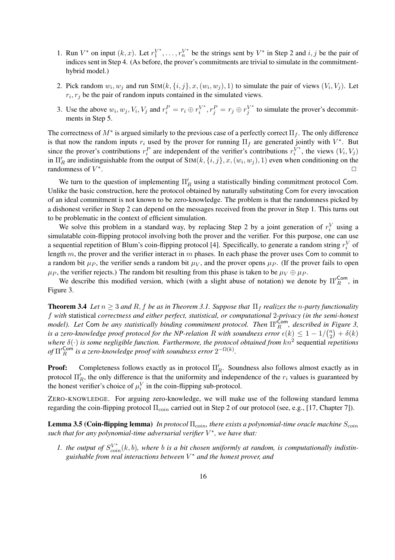- 1. Run  $V^*$  on input  $(k, x)$ . Let  $r_1^{V^*}$  $V_1^*, \ldots, r_n^{V^*}$  be the strings sent by  $V^*$  in Step 2 and  $i, j$  be the pair of indices sent in Step 4. (As before, the prover's commitments are trivial to simulate in the commitmenthybrid model.)
- 2. Pick random  $w_i, w_j$  and run SIM $(k, \{i, j\}, x, (w_i, w_j), 1)$  to simulate the pair of views  $(V_i, V_j)$ . Let  $r_i, r_j$  be the pair of random inputs contained in the simulated views.
- 3. Use the above  $w_i, w_j, V_i, V_j$  and  $r_i^P = r_i \oplus r_i^{V^*}$  $i^{V^*}, r_j^P = r_j \oplus r_j^{V^*}$  $y_i^{\vee*}$  to simulate the prover's decommitments in Step 5.

The correctness of  $M^*$  is argued similarly to the previous case of a perfectly correct  $\Pi_f$ . The only difference is that now the random inputs  $r_i$  used by the prover for running  $\Pi_f$  are generated jointly with  $V^*$ . But since the prover's contributions  $r_i^P$  are independent of the verifier's contributions  $r_i^{\tilde{V}^*}$  $i^{V^*}$ , the views  $(V_i, V_j)$ in  $\Pi'_R$  are indistinguishable from the output of  $\text{Sim}(k, \{i, j\}, x, (w_i, w_j), 1)$  even when conditioning on the randomness of  $V^*$ . ✷

We turn to the question of implementing  $\Pi'_R$  using a statistically binding commitment protocol Com. Unlike the basic construction, here the protocol obtained by naturally substituting Com for every invocation of an ideal commitment is not known to be zero-knowledge. The problem is that the randomness picked by a dishonest verifier in Step 2 can depend on the messages received from the prover in Step 1. This turns out to be problematic in the context of efficient simulation.

We solve this problem in a standard way, by replacing Step 2 by a joint generation of  $r_i^V$  using a simulatable coin-flipping protocol involving both the prover and the verifier. For this purpose, one can use a sequential repetition of Blum's coin-flipping protocol [4]. Specifically, to generate a random string  $r_i^V$  of length  $m$ , the prover and the verifier interact in  $m$  phases. In each phase the prover uses Com to commit to a random bit  $\mu_P$ , the verifier sends a random bit  $\mu_V$ , and the prover opens  $\mu_P$ . (If the prover fails to open  $\mu_P$ , the verifier rejects.) The random bit resulting from this phase is taken to be  $\mu_V \oplus \mu_P$ .

We describe this modified version, which (with a slight abuse of notation) we denote by  $\prod_{R}^{Com}$ , in Figure 3.

**Theorem 3.4** *Let*  $n \geq 3$  *and*  $R$ ,  $f$  *be as in Theorem 3.1. Suppose that*  $\Pi_f$  *realizes the n-party functionality* f *with* statistical *correctness and either perfect, statistical, or computational* 2*-privacy (in the semi-honest model*). Let Com *be any statistically binding commitment protocol. Then*  $\Pi'^{\textsf{Com}}_R$  *described in Figure 3, is a zero-knowledge proof protocol for the NP-relation* R with soundness error  $\epsilon(k) \leq 1 - 1/\binom{n}{2}$  $\binom{n}{2} + \delta(k)$ *where*  $\delta(\cdot)$  *is some negligible function. Furthermore, the protocol obtained from kn*<sup>2</sup> sequential *repetitions* of  $\Pi'^{\mathsf{Com}}_R$  is a zero-knowledge proof with soundness error  $2^{-\Omega(k)}$ .

**Proof:** Completeness follows exactly as in protocol  $\Pi'_R$ . Soundness also follows almost exactly as in protocol  $\Pi'_R$ , the only difference is that the uniformity and independence of the  $r_i$  values is guaranteed by the honest verifier's choice of  $\mu_i^V$  in the coin-flipping sub-protocol.

ZERO-KNOWLEDGE. For arguing zero-knowledge, we will make use of the following standard lemma regarding the coin-flipping protocol Π<sub>coin</sub> carried out in Step 2 of our protocol (see, e.g., [17, Chapter 7]).

Lemma 3.5 (Coin-flipping lemma) *In protocol* Π<sub>coin</sub>, there exists a polynomial-time oracle machine S<sub>coin</sub> *such that for any polynomial-time adversarial verifier* V ∗ *, we have that:*

*1.* the output of  $S_{coin}^{V^*}(k, b)$ , where *b* is a bit chosen uniformly at random, is computationally indistin*guishable from real interactions between* V <sup>∗</sup> *and the honest prover, and*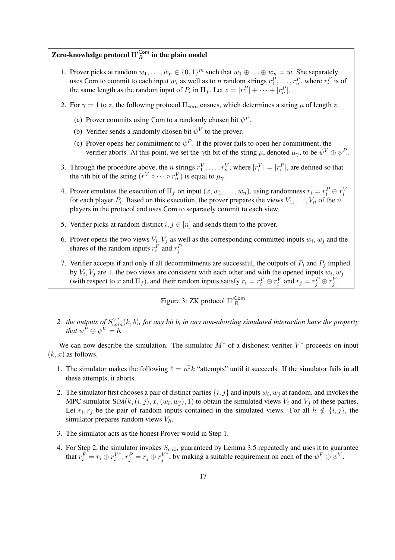# Zero-knowledge protocol  $\Pi_R^{\prime\mathsf{Com}}$  in the plain model

- 1. Prover picks at random  $w_1, \ldots, w_n \in \{0, 1\}^m$  such that  $w_1 \oplus \ldots \oplus w_n = w$ . She separately uses Com to commit to each input  $w_i$  as well as to n random strings  $r_1^P, \ldots, r_n^P$ , where  $r_i^P$  is of the same length as the random input of  $P_i$  in  $\Pi_f$ . Let  $z = |r_1^P| + \cdots + |r_n^P|$ .
- 2. For  $\gamma = 1$  to z, the following protocol  $\Pi_{coin}$  ensues, which determines a string  $\mu$  of length z.
	- (a) Prover commits using Com to a randomly chosen bit  $\psi^P$ .
	- (b) Verifier sends a randomly chosen bit  $\psi^V$  to the prover.
	- (c) Prover opens her commitment to  $\psi^P$ . If the prover fails to open her commitment, the verifier aborts. At this point, we set the  $\gamma$ th bit of the string  $\mu$ , denoted  $\mu_{\gamma}$ , to be  $\psi^V \oplus \psi^P$ .
- 3. Through the procedure above, the *n* strings  $r_1^V, \ldots, r_n^V$ , where  $|r_i^V| = |r_i^P|$ , are defined so that the  $\gamma$ th bit of the string  $(r_1^V \circ \cdots \circ r_n^V)$  is equal to  $\mu_\gamma$ .
- 4. Prover emulates the execution of  $\Pi_f$  on input  $(x, w_1, \dots, w_n)$ , using randomness  $r_i = r_i^P \oplus r_i^V$ for each player  $P_i$ . Based on this execution, the prover prepares the views  $V_1, \ldots, V_n$  of the n players in the protocol and uses Com to separately commit to each view.
- 5. Verifier picks at random distinct  $i, j \in [n]$  and sends them to the prover.
- 6. Prover opens the two views  $V_i$ ,  $V_j$  as well as the corresponding committed inputs  $w_i$ ,  $w_j$  and the shares of the random inputs  $r_i^P$  and  $r_j^P$ .
- 7. Verifier accepts if and only if all decommitments are successful, the outputs of  $P_i$  and  $P_j$  implied by  $V_i$ ,  $V_j$  are 1, the two views are consistent with each other and with the opened inputs  $w_i$ ,  $w_j$ (with respect to x and  $\Pi_f$ ), and their random inputs satisfy  $r_i = r_i^P \oplus r_i^V$  and  $r_j = r_j^P \oplus r_j^V$ .

Figure 3: ZK protocol  $\Pi'^{\mathsf{Com}}_R$ 

2. the outputs of  $S_{coin}^{V*}(k, b)$ , for any bit b, in any non-aborting simulated interaction have the property *that*  $\psi^P \oplus \psi^V = b$ .

We can now describe the simulation. The simulator  $M^*$  of a dishonest verifier  $V^*$  proceeds on input  $(k, x)$  as follows.

- 1. The simulator makes the following  $\ell = n^2k$  "attempts" until it succeeds. If the simulator fails in all these attempts, it aborts.
- 2. The simulator first chooses a pair of distinct parties  $\{i, j\}$  and inputs  $w_i, w_j$  at random, and invokes the MPC simulator SIM( $k$ ,  $(i, j)$ ,  $x$ ,  $(w_i, w_j)$ , 1) to obtain the simulated views  $V_i$  and  $V_j$  of these parties. Let  $r_i, r_j$  be the pair of random inputs contained in the simulated views. For all  $h \notin \{i, j\}$ , the simulator prepares random views  $V_h$ .
- 3. The simulator acts as the honest Prover would in Step 1.
- 4. For Step 2, the simulator invokes  $S_{coin}$  guaranteed by Lemma 3.5 repeatedly and uses it to guarantee that  $r_i^P = r_i \oplus r_i^{V^*}$  $i^{V^*}, r_j^P = r_j \oplus r_j^{V^*}$  $y^{\nu^*}$ , by making a suitable requirement on each of the  $\psi^P \oplus \psi^V$ .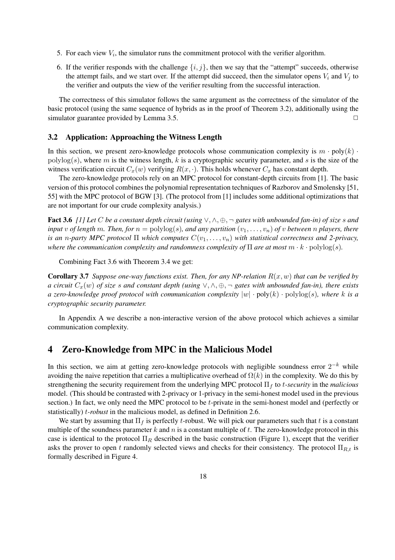- 5. For each view  $V_i$ , the simulator runs the commitment protocol with the verifier algorithm.
- 6. If the verifier responds with the challenge  $\{i, j\}$ , then we say that the "attempt" succeeds, otherwise the attempt fails, and we start over. If the attempt did succeed, then the simulator opens  $V_i$  and  $V_j$  to the verifier and outputs the view of the verifier resulting from the successful interaction.

The correctness of this simulator follows the same argument as the correctness of the simulator of the basic protocol (using the same sequence of hybrids as in the proof of Theorem 3.2), additionally using the simulator guarantee provided by Lemma 3.5.  $\Box$ 

### 3.2 Application: Approaching the Witness Length

In this section, we present zero-knowledge protocols whose communication complexity is  $m \cdot \text{poly}(k)$ .  $polylog(s)$ , where m is the witness length, k is a cryptographic security parameter, and s is the size of the witness verification circuit  $C_x(w)$  verifying  $R(x, \cdot)$ . This holds whenever  $C_x$  has constant depth.

The zero-knowledge protocols rely on an MPC protocol for constant-depth circuits from [1]. The basic version of this protocol combines the polynomial representation techniques of Razborov and Smolensky [51, 55] with the MPC protocol of BGW [3]. (The protocol from [1] includes some additional optimizations that are not important for our crude complexity analysis.)

Fact 3.6 *[1] Let* C *be a constant depth circuit (using* ∨, ∧, ⊕, ¬ *gates with unbounded fan-in) of size* s *and input* v of length m. Then, for  $n = \text{polylog}(s)$ , and any partition  $(v_1, \ldots, v_n)$  of v between n players, there *is an n-party MPC protocol*  $\Pi$  *which computes*  $C(v_1, \ldots, v_n)$  *with statistical correctness and 2-privacy, where the communication complexity and randomness complexity of*  $\Pi$  *are at most*  $m \cdot k \cdot \text{polylog}(s)$ *.* 

Combining Fact 3.6 with Theorem 3.4 we get:

**Corollary 3.7** *Suppose one-way functions exist. Then, for any NP-relation*  $R(x, w)$  *that can be verified by a circuit*  $C_x(w)$  *of size s and constant depth* (using  $\vee, \wedge, \oplus, \neg$  *gates with unbounded fan-in), there exists a zero-knowledge proof protocol with communication complexity*  $|w| \cdot poly(k) \cdot polylog(s)$ *, where* k is a *cryptographic security parameter.*

In Appendix A we describe a non-interactive version of the above protocol which achieves a similar communication complexity.

# 4 Zero-Knowledge from MPC in the Malicious Model

In this section, we aim at getting zero-knowledge protocols with negligible soundness error  $2^{-k}$  while avoiding the naive repetition that carries a multiplicative overhead of  $\Omega(k)$  in the complexity. We do this by strengthening the security requirement from the underlying MPC protocol Π<sup>f</sup> to t*-security* in the *malicious* model. (This should be contrasted with 2-privacy or 1-privacy in the semi-honest model used in the previous section.) In fact, we only need the MPC protocol to be t-private in the semi-honest model and (perfectly or statistically) t*-robust* in the malicious model, as defined in Definition 2.6.

We start by assuming that  $\Pi_f$  is perfectly t-robust. We will pick our parameters such that t is a constant multiple of the soundness parameter k and n is a constant multiple of t. The zero-knowledge protocol in this case is identical to the protocol  $\Pi_R$  described in the basic construction (Figure 1), except that the verifier asks the prover to open t randomly selected views and checks for their consistency. The protocol  $\Pi_{R,t}$  is formally described in Figure 4.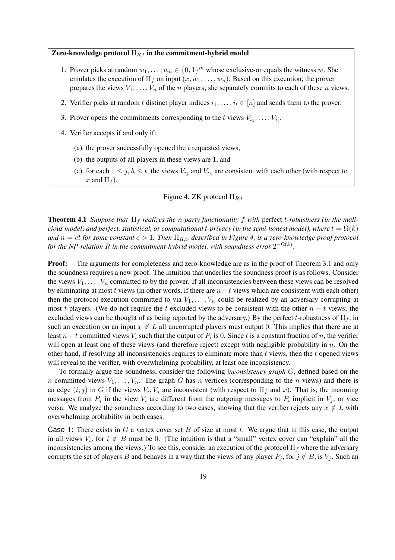### Zero-knowledge protocol  $\Pi_{R,t}$  in the commitment-hybrid model

- 1. Prover picks at random  $w_1, \ldots, w_n \in \{0, 1\}^m$  whose exclusive-or equals the witness w. She emulates the execution of  $\Pi_f$  on input  $(x, w_1, \ldots, w_n)$ . Based on this execution, the prover prepares the views  $V_1, \ldots, V_n$  of the *n* players; she separately commits to each of these *n* views.
- 2. Verifier picks at random t distinct player indices  $i_1, \ldots, i_t \in [n]$  and sends them to the prover.
- 3. Prover opens the commitments corresponding to the t views  $V_{i_1}, \ldots, V_{i_t}$ .
- 4. Verifier accepts if and only if:
	- (a) the prover successfully opened the  $t$  requested views,
	- (b) the outputs of all players in these views are 1, and
	- (c) for each  $1 \leq j, h \leq t$ , the views  $V_{i_j}$  and  $V_{i_h}$  are consistent with each other (with respect to x and  $\Pi_f$ ).

### Figure 4: ZK protocol  $\Pi_{R,t}$

**Theorem 4.1** *Suppose that*  $\Pi_f$  *realizes the n-party functionality* f with perfect *t-robustness (in the malicious model) and perfect, statistical, or computational t-privacy (in the semi-honest model), where*  $t = \Omega(k)$ *and*  $n = ct$  *for some constant*  $c > 1$ *. Then*  $\Pi_{R,t}$ , described in Figure 4, is a zero-knowledge proof protocol for the NP-relation  $R$  in the commitment-hybrid model, with soundness error  $2^{-\Omega(k)}.$ 

**Proof:** The arguments for completeness and zero-knowledge are as in the proof of Theorem 3.1 and only the soundness requires a new proof. The intuition that underlies the soundness proof is as follows. Consider the views  $V_1, \ldots, V_n$  committed to by the prover. If all inconsistencies between these views can be resolved by eliminating at most t views (in other words, if there are  $n-t$  views which are consistent with each other) then the protocol execution committed to via  $V_1, \ldots, V_n$  could be realized by an adversary corrupting at most t players. (We do not require the t excluded views to be consistent with the other  $n - t$  views; the excluded views can be thought of as being reported by the adversary.) By the perfect t-robustness of  $\Pi_f$ , in such an execution on an input  $x \notin L$  all uncorrupted players must output 0. This implies that there are at least  $n-t$  committed views  $V_i$  such that the output of  $P_i$  is 0. Since t is a constant fraction of n, the verifier will open at least one of these views (and therefore reject) except with negligible probability in  $n$ . On the other hand, if resolving all inconsistencies requires to eliminate more than  $t$  views, then the  $t$  opened views will reveal to the verifier, with overwhelming probability, at least one inconsistency.

To formally argue the soundness, consider the following *inconsistency graph* G, defined based on the n committed views  $V_1, \ldots, V_n$ . The graph G has n vertices (corresponding to the n views) and there is an edge  $(i, j)$  in G if the views  $V_i$ ,  $V_j$  are inconsistent (with respect to  $\Pi_f$  and x). That is, the incoming messages from  $P_j$  in the view  $V_i$  are different from the outgoing messages to  $P_i$  implicit in  $V_j$ , or vice versa. We analyze the soundness according to two cases, showing that the verifier rejects any  $x \notin L$  with overwhelming probability in both cases.

Case 1: There exists in  $G$  a vertex cover set  $B$  of size at most  $t$ . We argue that in this case, the output in all views  $V_i$ , for  $i \notin B$  must be 0. (The intuition is that a "small" vertex cover can "explain" all the inconsistencies among the views.) To see this, consider an execution of the protocol  $\Pi_f$  where the adversary corrupts the set of players B and behaves in a way that the views of any player  $P_i$ , for  $j \notin B$ , is  $V_i$ . Such an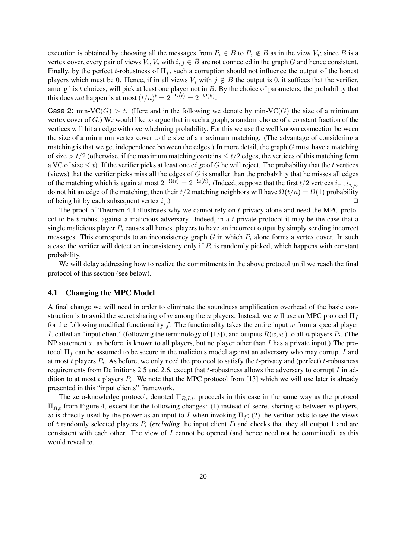execution is obtained by choosing all the messages from  $P_i \in B$  to  $P_j \notin B$  as in the view  $V_j$ ; since B is a vertex cover, every pair of views  $V_i$ ,  $V_j$  with  $i, j \in \overline{B}$  are not connected in the graph G and hence consistent. Finally, by the perfect t-robustness of  $\Pi_f$ , such a corruption should not influence the output of the honest players which must be 0. Hence, if in all views  $V_j$  with  $j \notin B$  the output is 0, it suffices that the verifier, among his  $t$  choices, will pick at least one player not in  $B$ . By the choice of parameters, the probability that this does *not* happen is at most  $(t/n)^t = 2^{-\Omega(t)} = 2^{-\Omega(k)}$ .

Case 2: min-VC(G) > t. (Here and in the following we denote by min-VC(G) the size of a minimum vertex cover of G.) We would like to argue that in such a graph, a random choice of a constant fraction of the vertices will hit an edge with overwhelming probability. For this we use the well known connection between the size of a minimum vertex cover to the size of a maximum matching. (The advantage of considering a matching is that we get independence between the edges.) In more detail, the graph  $G$  must have a matching of size >  $t/2$  (otherwise, if the maximum matching contains  $\leq t/2$  edges, the vertices of this matching form a VC of size  $\leq t$ ). If the verifier picks at least one edge of G he will reject. The probability that the t vertices (views) that the verifier picks miss all the edges of  $G$  is smaller than the probability that he misses all edges of the matching which is again at most  $2^{-\Omega(t)} = 2^{-\Omega(k)}$ . (Indeed, suppose that the first  $t/2$  vertices  $i_{j_1}, i_{j_{t/2}}$ do not hit an edge of the matching; then their  $t/2$  matching neighbors will have  $\Omega(t/n) = \Omega(1)$  probability of being hit by each subsequent vertex  $i_j$ .)

The proof of Theorem 4.1 illustrates why we cannot rely on t-privacy alone and need the MPC protocol to be t-robust against a malicious adversary. Indeed, in a t-private protocol it may be the case that a single malicious player  $P_i$  causes all honest players to have an incorrect output by simply sending incorrect messages. This corresponds to an inconsistency graph G in which  $P_i$  alone forms a vertex cover. In such a case the verifier will detect an inconsistency only if  $P_i$  is randomly picked, which happens with constant probability.

We will delay addressing how to realize the commitments in the above protocol until we reach the final protocol of this section (see below).

#### 4.1 Changing the MPC Model

A final change we will need in order to eliminate the soundness amplification overhead of the basic construction is to avoid the secret sharing of w among the n players. Instead, we will use an MPC protocol  $\Pi_f$ for the following modified functionality f. The functionality takes the entire input w from a special player I, called an "input client" (following the terminology of [13]), and outputs  $R(x, w)$  to all n players  $P_i$ . (The NP statement x, as before, is known to all players, but no player other than I has a private input.) The protocol  $\Pi_f$  can be assumed to be secure in the malicious model against an adversary who may corrupt I and at most t players  $P_i$ . As before, we only need the protocol to satisfy the t-privacy and (perfect) t-robustness requirements from Definitions 2.5 and 2.6, except that t-robustness allows the adversary to corrupt  $I$  in addition to at most t players  $P_i$ . We note that the MPC protocol from [13] which we will use later is already presented in this "input clients" framework.

The zero-knowledge protocol, denoted  $\Pi_{R,I,t}$ , proceeds in this case in the same way as the protocol  $\Pi_{R,t}$  from Figure 4, except for the following changes: (1) instead of secret-sharing w between n players, w is directly used by the prover as an input to I when invoking  $\Pi_f$ ; (2) the verifier asks to see the views of t randomly selected players  $P_i$  (*excluding* the input client I) and checks that they all output 1 and are consistent with each other. The view of  $I$  cannot be opened (and hence need not be committed), as this would reveal w.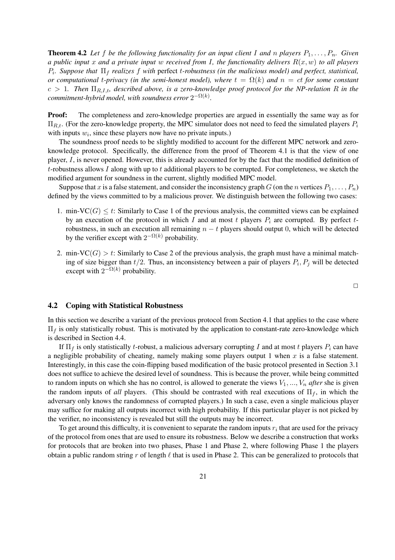**Theorem 4.2** Let f be the following functionality for an input client I and n players  $P_1, \ldots, P_n$ . Given *a public input* x *and a private input* w *received from* I*, the functionality delivers* R(x, w) *to all players*  $P_i$ . Suppose that  $\Pi_f$  *realizes*  $f$  *with* perfect  $t$ -robustness (in the malicious model) and perfect, statistical, *or computational t-privacy (in the semi-honest model), where*  $t = \Omega(k)$  *and*  $n = ct$  *for some constant*  $c > 1$ . Then  $\Pi_{R,I,t}$ , described above, is a zero-knowledge proof protocol for the NP-relation R in the  ${\it commitment-hybrid \ model, with soundness error \ } 2^{-\Omega(k)}.$ 

**Proof:** The completeness and zero-knowledge properties are argued in essentially the same way as for  $\Pi_{R,t}$ . (For the zero-knowledge property, the MPC simulator does not need to feed the simulated players  $P_i$ with inputs  $w_i$ , since these players now have no private inputs.)

The soundness proof needs to be slightly modified to account for the different MPC network and zeroknowledge protocol. Specifically, the difference from the proof of Theorem 4.1 is that the view of one player, I, is never opened. However, this is already accounted for by the fact that the modified definition of t-robustness allows  $I$  along with up to  $t$  additional players to be corrupted. For completeness, we sketch the modified argument for soundness in the current, slightly modified MPC model.

Suppose that x is a false statement, and consider the inconsistency graph G (on the n vertices  $P_1, \ldots, P_n$ ) defined by the views committed to by a malicious prover. We distinguish between the following two cases:

- 1. min-VC( $G$ )  $\leq t$ : Similarly to Case 1 of the previous analysis, the committed views can be explained by an execution of the protocol in which I and at most t players  $P_i$  are corrupted. By perfect trobustness, in such an execution all remaining  $n - t$  players should output 0, which will be detected by the verifier except with  $2^{-\Omega(k)}$  probability.
- 2. min-VC(G)  $> t$ : Similarly to Case 2 of the previous analysis, the graph must have a minimal matching of size bigger than  $t/2$ . Thus, an inconsistency between a pair of players  $P_i, P_j$  will be detected except with  $2^{-\Omega(k)}$  probability.

 $\Box$ 

### 4.2 Coping with Statistical Robustness

In this section we describe a variant of the previous protocol from Section 4.1 that applies to the case where  $\Pi_f$  is only statistically robust. This is motivated by the application to constant-rate zero-knowledge which is described in Section 4.4.

If  $\Pi_f$  is only statistically t-robust, a malicious adversary corrupting I and at most t players  $P_i$  can have a negligible probability of cheating, namely making some players output 1 when  $x$  is a false statement. Interestingly, in this case the coin-flipping based modification of the basic protocol presented in Section 3.1 does not suffice to achieve the desired level of soundness. This is because the prover, while being committed to random inputs on which she has no control, is allowed to generate the views  $V_1, ..., V_n$  *after* she is given the random inputs of *all* players. (This should be contrasted with real executions of  $\Pi_f$ , in which the adversary only knows the randomness of corrupted players.) In such a case, even a single malicious player may suffice for making all outputs incorrect with high probability. If this particular player is not picked by the verifier, no inconsistency is revealed but still the outputs may be incorrect.

To get around this difficulty, it is convenient to separate the random inputs  $r_i$  that are used for the privacy of the protocol from ones that are used to ensure its robustness. Below we describe a construction that works for protocols that are broken into two phases, Phase 1 and Phase 2, where following Phase 1 the players obtain a public random string r of length  $\ell$  that is used in Phase 2. This can be generalized to protocols that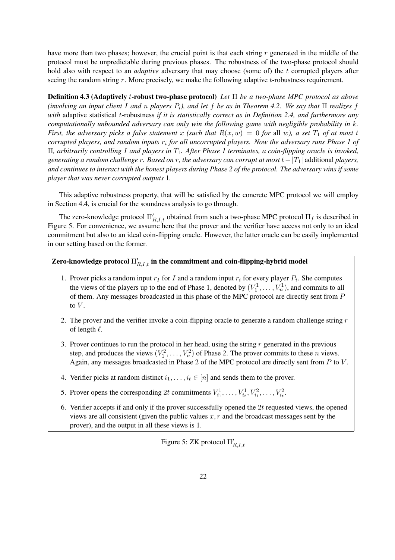have more than two phases; however, the crucial point is that each string  $r$  generated in the middle of the protocol must be unpredictable during previous phases. The robustness of the two-phase protocol should hold also with respect to an *adaptive* adversary that may choose (some of) the t corrupted players after seeing the random string  $r$ . More precisely, we make the following adaptive  $t$ -robustness requirement.

Definition 4.3 (Adaptively t-robust two-phase protocol) *Let* Π *be a two-phase MPC protocol as above (involving an input client* I *and* n *players* Pi*), and let* f *be as in Theorem 4.2. We say that* Π *realizes* f *with* adaptive statistical t-robustness *if it is statistically correct as in Definition 2.4, and furthermore any computationally unbounded adversary can only win the following game with negligible probability in* k*. First, the adversary picks a false statement* x *(such that*  $R(x, w) = 0$  *for* all w*), a set*  $T_1$  *of at most* t *corrupted players, and random inputs* r<sup>i</sup> *for all uncorrupted players. Now the adversary runs Phase 1 of* Π*, arbitrarily controlling* I *and players in* T1*. After Phase 1 terminates, a coin-flipping oracle is invoked, generating a random challenge* r*. Based on* r*, the adversary can corrupt at most* t− |T1| additional *players, and continues to interact with the honest players during Phase 2 of the protocol. The adversary wins if some player that was never corrupted outputs* 1*.*

This adaptive robustness property, that will be satisfied by the concrete MPC protocol we will employ in Section 4.4, is crucial for the soundness analysis to go through.

The zero-knowledge protocol  $\Pi'_{R,I,t}$  obtained from such a two-phase MPC protocol  $\Pi_f$  is described in Figure 5. For convenience, we assume here that the prover and the verifier have access not only to an ideal commitment but also to an ideal coin-flipping oracle. However, the latter oracle can be easily implemented in our setting based on the former.

# Zero-knowledge protocol  $\Pi'_{R,I,t}$  in the commitment and coin-flipping-hybrid model

- 1. Prover picks a random input  $r_I$  for I and a random input  $r_i$  for every player  $P_i$ . She computes the views of the players up to the end of Phase 1, denoted by  $(V_1^1, \ldots, V_n^1)$ , and commits to all of them. Any messages broadcasted in this phase of the MPC protocol are directly sent from P to  $V$ .
- 2. The prover and the verifier invoke a coin-flipping oracle to generate a random challenge string  $r$ of length  $\ell$ .
- 3. Prover continues to run the protocol in her head, using the string  $r$  generated in the previous step, and produces the views  $(V_1^2, \ldots, V_n^2)$  of Phase 2. The prover commits to these *n* views. Again, any messages broadcasted in Phase 2 of the MPC protocol are directly sent from P to V.
- 4. Verifier picks at random distinct  $i_1, \ldots, i_t \in [n]$  and sends them to the prover.
- 5. Prover opens the corresponding 2t commitments  $V_{i_1}^1, \ldots, V_{i_t}^1, V_{i_1}^2, \ldots, V_{i_t}^2$ .
- 6. Verifier accepts if and only if the prover successfully opened the  $2t$  requested views, the opened views are all consistent (given the public values  $x, r$  and the broadcast messages sent by the prover), and the output in all these views is 1.

Figure 5: ZK protocol  $\Pi'_{R,I,t}$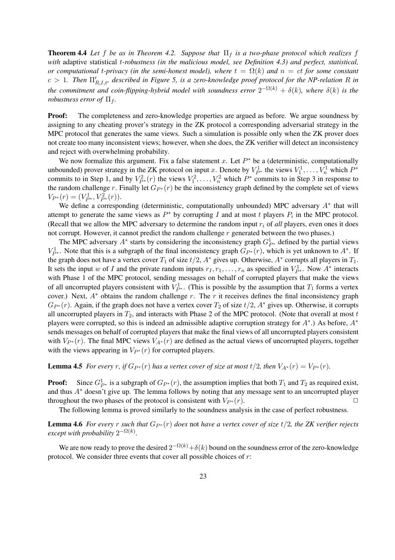**Theorem 4.4** Let f be as in Theorem 4.2. Suppose that  $\Pi_f$  is a two-phase protocol which realizes f *with* adaptive statistical t*-robustness (in the malicious model, see Definition 4.3) and perfect, statistical, or computational t-privacy (in the semi-honest model), where*  $t = \Omega(k)$  *and*  $n = ct$  *for some constant*  $c > 1$ . Then  $\prod_{R,I,t}^{\prime}$ , described in Figure 5, is a zero-knowledge proof protocol for the NP-relation R in *the commitment and coin-flipping-hybrid model with soundness error*  $2^{-\Omega(k)} + \delta(k)$ , where  $\delta(k)$  is the *robustness error of*  $\Pi_f$ .

**Proof:** The completeness and zero-knowledge properties are argued as before. We argue soundness by assigning to any cheating prover's strategy in the ZK protocol a corresponding adversarial strategy in the MPC protocol that generates the same views. Such a simulation is possible only when the ZK prover does not create too many inconsistent views; however, when she does, the ZK verifier will detect an inconsistency and reject with overwhelming probability.

We now formalize this argument. Fix a false statement x. Let  $P^*$  be a (deterministic, computationally unbounded) prover strategy in the ZK protocol on input x. Denote by  $V_{P^*}^1$  the views  $V_1^1, \ldots, V_n^1$  which  $P^*$ commits to in Step 1, and by  $V_{P^*}^2(r)$  the views  $V_1^2, \ldots, V_n^2$  which  $P^*$  commits to in Step 3 in response to the random challenge r. Finally let  $G_{P^*}(r)$  be the inconsistency graph defined by the complete set of views  $V_{P^*}(r) = (V_{P^*}^1, V_{P^*}^2(r)).$ 

We define a corresponding (deterministic, computationally unbounded) MPC adversary  $A^*$  that will attempt to generate the same views as  $P^*$  by corrupting I and at most t players  $P_i$  in the MPC protocol. (Recall that we allow the MPC adversary to determine the random input  $r_i$  of *all* players, even ones it does not corrupt. However, it cannot predict the random challenge r generated between the two phases.)

The MPC adversary  $A^*$  starts by considering the inconsistency graph  $G_{P^*}^1$  defined by the partial views  $V_{P^*}^1$ . Note that this is a subgraph of the final inconsistency graph  $G_{P^*}(r)$ , which is yet unknown to  $A^*$ . If the graph does not have a vertex cover  $T_1$  of size  $t/2$ ,  $A^*$  gives up. Otherwise,  $A^*$  corrupts all players in  $T_1$ . It sets the input w of I and the private random inputs  $r_1, r_1, \ldots, r_n$  as specified in  $V_{P^*}^1$ . Now  $A^*$  interacts with Phase 1 of the MPC protocol, sending messages on behalf of corrupted players that make the views of all uncorrupted players consistent with  $V_{P^*}^1$ . (This is possible by the assumption that  $T_1$  forms a vertex cover.) Next,  $A^*$  obtains the random challenge r. The r it receives defines the final inconsistency graph  $G_{P^*}(r)$ . Again, if the graph does not have a vertex cover  $T_2$  of size  $t/2$ ,  $A^*$  gives up. Otherwise, it corrupts all uncorrupted players in  $T_2$ , and interacts with Phase 2 of the MPC protocol. (Note that overall at most  $t$ players were corrupted, so this is indeed an admissible adaptive corruption strategy for  $A^*$ .) As before,  $A^*$ sends messages on behalf of corrupted players that make the final views of all uncorrupted players consistent with  $V_{P^*}(r)$ . The final MPC views  $V_{A^*}(r)$  are defined as the actual views of uncorrupted players, together with the views appearing in  $V_{P*}(r)$  for corrupted players.

**Lemma 4.5** *For every r,* if  $G_{P^*}(r)$  *has a vertex cover of size at most*  $t/2$ *, then*  $V_{A^*}(r) = V_{P^*}(r)$ *.* 

**Proof:** Since  $G_{P*}^1$  is a subgraph of  $G_{P*}(r)$ , the assumption implies that both  $T_1$  and  $T_2$  as required exist, and thus A<sup>∗</sup> doesn't give up. The lemma follows by noting that any message sent to an uncorrupted player throughout the two phases of the protocol is consistent with  $V_{P^*}(r)$ .

The following lemma is proved similarly to the soundness analysis in the case of perfect robustness.

**Lemma 4.6** *For every* r *such that*  $G_{P^*}(r)$  *does* not *have a vertex cover of size*  $t/2$ *, the ZK verifier rejects except with probability*  $2^{-\Omega(k)}$ *.* 

We are now ready to prove the desired  $2^{-\Omega(k)} + \delta(k)$  bound on the soundness error of the zero-knowledge protocol. We consider three events that cover all possible choices of  $r$ :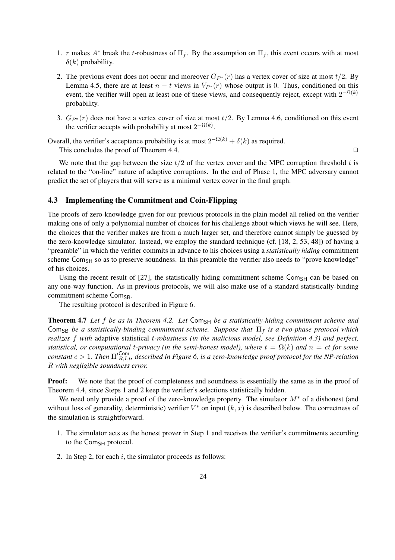- 1. r makes  $A^*$  break the t-robustness of  $\Pi_f$ . By the assumption on  $\Pi_f$ , this event occurs with at most  $\delta(k)$  probability.
- 2. The previous event does not occur and moreover  $G_{P*}(r)$  has a vertex cover of size at most  $t/2$ . By Lemma 4.5, there are at least  $n - t$  views in  $V_{P^*}(r)$  whose output is 0. Thus, conditioned on this event, the verifier will open at least one of these views, and consequently reject, except with  $2^{-\Omega(k)}$ probability.
- 3.  $G_{P*}(r)$  does not have a vertex cover of size at most  $t/2$ . By Lemma 4.6, conditioned on this event the verifier accepts with probability at most  $2^{-\Omega(k)}$ .

Overall, the verifier's acceptance probability is at most  $2^{-\Omega(k)} + \delta(k)$  as required. This concludes the proof of Theorem 4.4.  $\Box$ 

We note that the gap between the size  $t/2$  of the vertex cover and the MPC corruption threshold t is related to the "on-line" nature of adaptive corruptions. In the end of Phase 1, the MPC adversary cannot predict the set of players that will serve as a minimal vertex cover in the final graph.

### 4.3 Implementing the Commitment and Coin-Flipping

The proofs of zero-knowledge given for our previous protocols in the plain model all relied on the verifier making one of only a polynomial number of choices for his challenge about which views he will see. Here, the choices that the verifier makes are from a much larger set, and therefore cannot simply be guessed by the zero-knowledge simulator. Instead, we employ the standard technique (cf. [18, 2, 53, 48]) of having a "preamble" in which the verifier commits in advance to his choices using a *statistically hiding* commitment scheme Com<sub>SH</sub> so as to preserve soundness. In this preamble the verifier also needs to "prove knowledge" of his choices.

Using the recent result of  $[27]$ , the statistically hiding commitment scheme Com<sub>SH</sub> can be based on any one-way function. As in previous protocols, we will also make use of a standard statistically-binding commitment scheme Com<sub>SB</sub>.

The resulting protocol is described in Figure 6.

Theorem 4.7 Let f be as in Theorem 4.2. Let Com<sub>SH</sub> be a statistically-hiding commitment scheme and ComSB *be a statistically-binding commitment scheme. Suppose that* Π<sup>f</sup> *is a two-phase protocol which realizes* f *with* adaptive statistical t*-robustness (in the malicious model, see Definition 4.3) and perfect, statistical, or computational t-privacy (in the semi-honest model), where*  $t = \Omega(k)$  *and*  $n = ct$  *for some*  $constant \ c > 1$ . Then  $\Pi'^{\mathsf{Com}}_{R,I,t}$ , described in Figure 6, is a zero-knowledge proof protocol for the NP-relation R *with negligible soundness error.*

**Proof:** We note that the proof of completeness and soundness is essentially the same as in the proof of Theorem 4.4, since Steps 1 and 2 keep the verifier's selections statistically hidden.

We need only provide a proof of the zero-knowledge property. The simulator  $M^*$  of a dishonest (and without loss of generality, deterministic) verifier  $V^*$  on input  $(k, x)$  is described below. The correctness of the simulation is straightforward.

- 1. The simulator acts as the honest prover in Step 1 and receives the verifier's commitments according to the Com<sub>SH</sub> protocol.
- 2. In Step 2, for each  $i$ , the simulator proceeds as follows: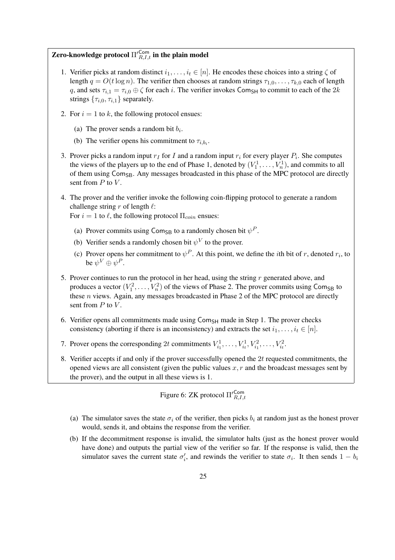# Zero-knowledge protocol  $\Pi'^{\mathsf{Com}}_{R,I,t}$  in the plain model

- 1. Verifier picks at random distinct  $i_1, \ldots, i_t \in [n]$ . He encodes these choices into a string  $\zeta$  of length  $q = O(t \log n)$ . The verifier then chooses at random strings  $\tau_{1,0}, \ldots, \tau_{k,0}$  each of length q, and sets  $\tau_{i,1} = \tau_{i,0} \oplus \zeta$  for each i. The verifier invokes Com<sub>SH</sub> to commit to each of the 2k strings  $\{\tau_{i,0}, \tau_{i,1}\}$  separately.
- 2. For  $i = 1$  to k, the following protocol ensues:
	- (a) The prover sends a random bit  $b_i$ .
	- (b) The verifier opens his commitment to  $\tau_{i,b_i}$ .
- 3. Prover picks a random input  $r_I$  for I and a random input  $r_i$  for every player  $P_i$ . She computes the views of the players up to the end of Phase 1, denoted by  $(V_1^1, \ldots, V_n^1)$ , and commits to all of them using  $Com_{SB}$ . Any messages broadcasted in this phase of the MPC protocol are directly sent from  $P$  to  $V$ .
- 4. The prover and the verifier invoke the following coin-flipping protocol to generate a random challenge string r of length  $\ell$ :

For  $i = 1$  to  $\ell$ , the following protocol  $\Pi_{coin}$  ensues:

- (a) Prover commits using Com<sub>SB</sub> to a randomly chosen bit  $\psi^P$ .
- (b) Verifier sends a randomly chosen bit  $\psi^V$  to the prover.
- (c) Prover opens her commitment to  $\psi^P$ . At this point, we define the *i*th bit of r, denoted  $r_i$ , to be  $\psi^V\oplus\psi^P.$
- 5. Prover continues to run the protocol in her head, using the string  $r$  generated above, and produces a vector  $(V_1^2, \ldots, V_n^2)$  of the views of Phase 2. The prover commits using Com<sub>SB</sub> to these  $n$  views. Again, any messages broadcasted in Phase 2 of the MPC protocol are directly sent from  $P$  to  $V$ .
- 6. Verifier opens all commitments made using Com<sub>SH</sub> made in Step 1. The prover checks consistency (aborting if there is an inconsistency) and extracts the set  $i_1, \ldots, i_t \in [n]$ .
- 7. Prover opens the corresponding 2t commitments  $V_{i_1}^1, \ldots, V_{i_t}^1, V_{i_1}^2, \ldots, V_{i_t}^2$ .
- 8. Verifier accepts if and only if the prover successfully opened the  $2t$  requested commitments, the opened views are all consistent (given the public values  $x, r$  and the broadcast messages sent by the prover), and the output in all these views is 1.

Figure 6: ZK protocol  $\Pi_{R,I,t}^{\prime \textsf{Com}}$ 

- (a) The simulator saves the state  $\sigma_i$  of the verifier, then picks  $b_i$  at random just as the honest prover would, sends it, and obtains the response from the verifier.
- (b) If the decommitment response is invalid, the simulator halts (just as the honest prover would have done) and outputs the partial view of the verifier so far. If the response is valid, then the simulator saves the current state  $\sigma_i'$ , and rewinds the verifier to state  $\sigma_i$ . It then sends  $1 - b_i$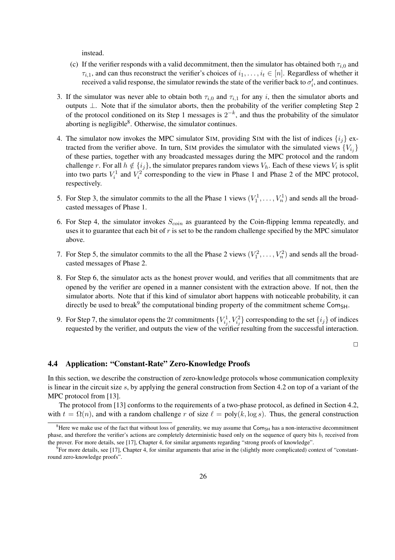instead.

- (c) If the verifier responds with a valid decommitment, then the simulator has obtained both  $\tau_{i,0}$  and  $\tau_{i,1}$ , and can thus reconstruct the verifier's choices of  $i_1, \ldots, i_t \in [n]$ . Regardless of whether it received a valid response, the simulator rewinds the state of the verifier back to  $\sigma_i'$ , and continues.
- 3. If the simulator was never able to obtain both  $\tau_{i,0}$  and  $\tau_{i,1}$  for any i, then the simulator aborts and outputs ⊥. Note that if the simulator aborts, then the probability of the verifier completing Step 2 of the protocol conditioned on its Step 1 messages is  $2^{-k}$ , and thus the probability of the simulator aborting is negligible $8$ . Otherwise, the simulator continues.
- 4. The simulator now invokes the MPC simulator SIM, providing SIM with the list of indices  $\{i_j\}$  extracted from the verifier above. In turn, SIM provides the simulator with the simulated views  ${V_{i,j}}$ of these parties, together with any broadcasted messages during the MPC protocol and the random challenge r. For all  $h \notin \{i_j\}$ , the simulator prepares random views  $V_h$ . Each of these views  $V_i$  is split into two parts  $V_i^1$  and  $V_i^2$  corresponding to the view in Phase 1 and Phase 2 of the MPC protocol, respectively.
- 5. For Step 3, the simulator commits to the all the Phase 1 views  $(V_1^1, \ldots, V_n^1)$  and sends all the broadcasted messages of Phase 1.
- 6. For Step 4, the simulator invokes  $S_{coin}$  as guaranteed by the Coin-flipping lemma repeatedly, and uses it to guarantee that each bit of  $r$  is set to be the random challenge specified by the MPC simulator above.
- 7. For Step 5, the simulator commits to the all the Phase 2 views  $(V_1^2, \ldots, V_n^2)$  and sends all the broadcasted messages of Phase 2.
- 8. For Step 6, the simulator acts as the honest prover would, and verifies that all commitments that are opened by the verifier are opened in a manner consistent with the extraction above. If not, then the simulator aborts. Note that if this kind of simulator abort happens with noticeable probability, it can directly be used to break<sup>9</sup> the computational binding property of the commitment scheme Com<sub>SH</sub>.
- 9. For Step 7, the simulator opens the 2t commitments  $\{V_{i,j}^1, V_{i,j}^2\}$  corresponding to the set  $\{i_j\}$  of indices requested by the verifier, and outputs the view of the verifier resulting from the successful interaction.

 $\Box$ 

# 4.4 Application: "Constant-Rate" Zero-Knowledge Proofs

In this section, we describe the construction of zero-knowledge protocols whose communication complexity is linear in the circuit size s, by applying the general construction from Section 4.2 on top of a variant of the MPC protocol from [13].

The protocol from [13] conforms to the requirements of a two-phase protocol, as defined in Section 4.2, with  $t = \Omega(n)$ , and with a random challenge r of size  $\ell = poly(k, \log s)$ . Thus, the general construction

<sup>&</sup>lt;sup>8</sup>Here we make use of the fact that without loss of generality, we may assume that  $Com_{SH}$  has a non-interactive decommitment phase, and therefore the verifier's actions are completely deterministic based only on the sequence of query bits  $b_i$  received from the prover. For more details, see [17], Chapter 4, for similar arguments regarding "strong proofs of knowledge".

<sup>&</sup>lt;sup>9</sup> For more details, see [17], Chapter 4, for similar arguments that arise in the (slightly more complicated) context of "constantround zero-knowledge proofs".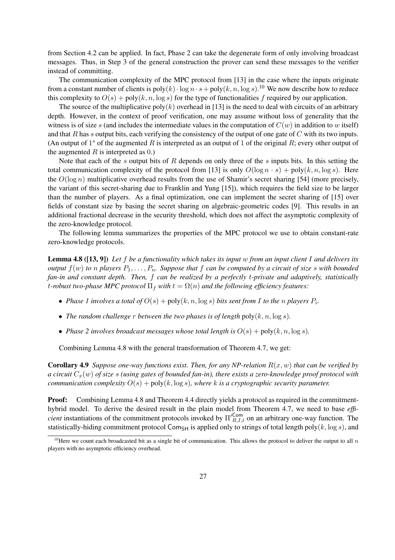from Section 4.2 can be applied. In fact, Phase 2 can take the degenerate form of only involving broadcast messages. Thus, in Step 3 of the general construction the prover can send these messages to the verifier instead of committing.

The communication complexity of the MPC protocol from [13] in the case where the inputs originate from a constant number of clients is  $poly(k) \cdot \log n \cdot s + poly(k, n, \log s)$ .<sup>10</sup> We now describe how to reduce this complexity to  $O(s)$  + poly $(k, n, \log s)$  for the type of functionalities f required by our application.

The source of the multiplicative poly $(k)$  overhead in [13] is the need to deal with circuits of an arbitrary depth. However, in the context of proof verification, one may assume without loss of generality that the witness is of size s (and includes the intermediate values in the computation of  $C(w)$  in addition to w itself) and that R has s output bits, each verifying the consistency of the output of one gate of  $C$  with its two inputs. (An output of  $1<sup>s</sup>$  of the augmented R is interpreted as an output of 1 of the original R; every other output of the augmented  $R$  is interpreted as  $(0)$ .

Note that each of the s output bits of  $R$  depends on only three of the s inputs bits. In this setting the total communication complexity of the protocol from [13] is only  $O(\log n \cdot s) + \text{poly}(k, n, \log s)$ . Here the  $O(\log n)$  multiplicative overhead results from the use of Shamir's secret sharing [54] (more precisely, the variant of this secret-sharing due to Franklin and Yung [15]), which requires the field size to be larger than the number of players. As a final optimization, one can implement the secret sharing of [15] over fields of constant size by basing the secret sharing on algebraic-geometric codes [9]. This results in an additional fractional decrease in the security threshold, which does not affect the asymptotic complexity of the zero-knowledge protocol.

The following lemma summarizes the properties of the MPC protocol we use to obtain constant-rate zero-knowledge protocols.

Lemma 4.8 ([13, 9]) *Let* f *be a functionality which takes its input* w *from an input client* I *and delivers its output*  $f(w)$  *to n players*  $P_1, \ldots, P_n$ *. Suppose that*  $f$  *can be computed by a circuit of size s with bounded fan-in and constant depth. Then,* f *can be realized by a perfectly* t*-private and adaptively, statistically t*-robust two-phase MPC protocol  $\Pi_f$  with  $t = \Omega(n)$  and the following efficiency features:

- *Phase 1 involves a total of*  $O(s)$  +  $poly(k, n, \log s)$  *bits sent from I to the n players*  $P_i$ *.*
- *The random challenge* r *between the two phases is of length*  $poly(k, n, \log s)$ *.*
- *Phase 2 involves broadcast messages whose total length is*  $O(s) + \text{poly}(k, n, \log s)$ .

Combining Lemma 4.8 with the general transformation of Theorem 4.7, we get:

**Corollary 4.9** *Suppose one-way functions exist. Then, for any NP-relation*  $R(x, w)$  *that can be verified by a circuit* Cx(w) *of size* s *(using gates of bounded fan-in), there exists a zero-knowledge proof protocol with communication complexity*  $O(s) + \text{poly}(k, \log s)$ *, where* k *is a cryptographic security parameter.* 

Proof: Combining Lemma 4.8 and Theorem 4.4 directly yields a protocol as required in the commitmenthybrid model. To derive the desired result in the plain model from Theorem 4.7, we need to base *efficient* instantiations of the commitment protocols invoked by  $\prod_{i=1}^{n} C_{i}^{com}$  on an arbitrary one-way function. The statistically-hiding commitment protocol Com<sub>SH</sub> is applied only to strings of total length poly( $k$ , log  $s$ ), and

<sup>&</sup>lt;sup>10</sup>Here we count each broadcasted bit as a single bit of communication. This allows the protocol to deliver the output to all  $n$ players with no asymptotic efficiency overhead.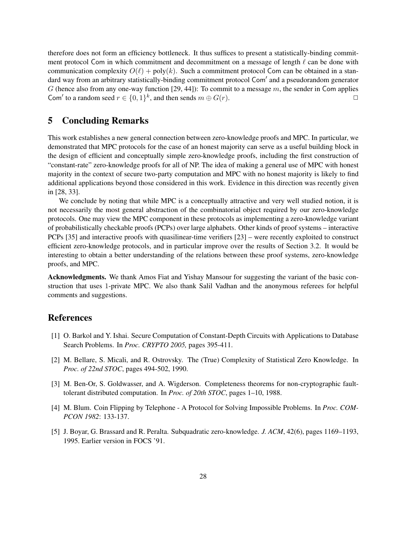therefore does not form an efficiency bottleneck. It thus suffices to present a statistically-binding commitment protocol Com in which commitment and decommitment on a message of length  $\ell$  can be done with communication complexity  $O(\ell)$  + poly(k). Such a commitment protocol Com can be obtained in a standard way from an arbitrary statistically-binding commitment protocol Com' and a pseudorandom generator G (hence also from any one-way function  $[29, 44]$ ): To commit to a message m, the sender in Com applies Com' to a random seed  $r \in \{0,1\}^k$ , and then sends  $m \oplus G(r)$ .

# 5 Concluding Remarks

This work establishes a new general connection between zero-knowledge proofs and MPC. In particular, we demonstrated that MPC protocols for the case of an honest majority can serve as a useful building block in the design of efficient and conceptually simple zero-knowledge proofs, including the first construction of "constant-rate" zero-knowledge proofs for all of NP. The idea of making a general use of MPC with honest majority in the context of secure two-party computation and MPC with no honest majority is likely to find additional applications beyond those considered in this work. Evidence in this direction was recently given in [28, 33].

We conclude by noting that while MPC is a conceptually attractive and very well studied notion, it is not necessarily the most general abstraction of the combinatorial object required by our zero-knowledge protocols. One may view the MPC component in these protocols as implementing a zero-knowledge variant of probabilistically checkable proofs (PCPs) over large alphabets. Other kinds of proof systems – interactive PCPs [35] and interactive proofs with quasilinear-time verifiers [23] – were recently exploited to construct efficient zero-knowledge protocols, and in particular improve over the results of Section 3.2. It would be interesting to obtain a better understanding of the relations between these proof systems, zero-knowledge proofs, and MPC.

Acknowledgments. We thank Amos Fiat and Yishay Mansour for suggesting the variant of the basic construction that uses 1-private MPC. We also thank Salil Vadhan and the anonymous referees for helpful comments and suggestions.

## References

- [1] O. Barkol and Y. Ishai. Secure Computation of Constant-Depth Circuits with Applications to Database Search Problems. In *Proc. CRYPTO 2005,* pages 395-411.
- [2] M. Bellare, S. Micali, and R. Ostrovsky. The (True) Complexity of Statistical Zero Knowledge. In *Proc. of 22nd STOC*, pages 494-502, 1990.
- [3] M. Ben-Or, S. Goldwasser, and A. Wigderson. Completeness theorems for non-cryptographic faulttolerant distributed computation. In *Proc. of 20th STOC*, pages 1–10, 1988.
- [4] M. Blum. Coin Flipping by Telephone A Protocol for Solving Impossible Problems. In *Proc. COM-PCON 1982*: 133-137.
- [5] J. Boyar, G. Brassard and R. Peralta. Subquadratic zero-knowledge. *J. ACM*, 42(6), pages 1169–1193, 1995. Earlier version in FOCS '91.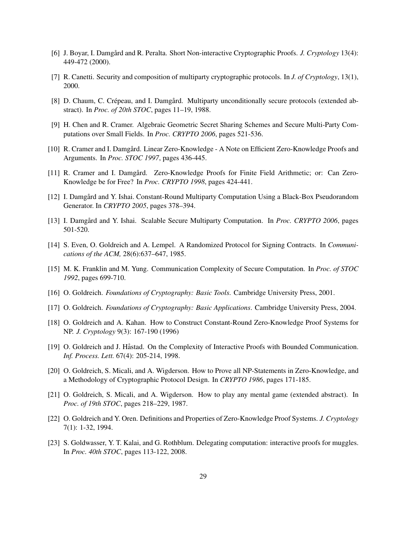- [6] J. Boyar, I. Damgård and R. Peralta. Short Non-interactive Cryptographic Proofs. *J. Cryptology* 13(4): 449-472 (2000).
- [7] R. Canetti. Security and composition of multiparty cryptographic protocols. In *J. of Cryptology*, 13(1), 2000.
- [8] D. Chaum, C. Crépeau, and I. Damgård. Multiparty unconditionally secure protocols (extended abstract). In *Proc. of 20th STOC*, pages 11–19, 1988.
- [9] H. Chen and R. Cramer. Algebraic Geometric Secret Sharing Schemes and Secure Multi-Party Computations over Small Fields. In *Proc. CRYPTO 2006*, pages 521-536.
- [10] R. Cramer and I. Damgård. Linear Zero-Knowledge A Note on Efficient Zero-Knowledge Proofs and Arguments. In *Proc. STOC 1997*, pages 436-445.
- [11] R. Cramer and I. Damgård. Zero-Knowledge Proofs for Finite Field Arithmetic; or: Can Zero-Knowledge be for Free? In *Proc. CRYPTO 1998*, pages 424-441.
- [12] I. Damgård and Y. Ishai. Constant-Round Multiparty Computation Using a Black-Box Pseudorandom Generator. In *CRYPTO 2005*, pages 378–394.
- [13] I. Damgård and Y. Ishai. Scalable Secure Multiparty Computation. In *Proc. CRYPTO 2006*, pages 501-520.
- [14] S. Even, O. Goldreich and A. Lempel. A Randomized Protocol for Signing Contracts. In *Communications of the ACM,* 28(6):637–647, 1985.
- [15] M. K. Franklin and M. Yung. Communication Complexity of Secure Computation. In *Proc. of STOC 1992*, pages 699-710.
- [16] O. Goldreich. *Foundations of Cryptography: Basic Tools*. Cambridge University Press, 2001.
- [17] O. Goldreich. *Foundations of Cryptography: Basic Applications*. Cambridge University Press, 2004.
- [18] O. Goldreich and A. Kahan. How to Construct Constant-Round Zero-Knowledge Proof Systems for NP. *J. Cryptology* 9(3): 167-190 (1996)
- [19] O. Goldreich and J. Håstad. On the Complexity of Interactive Proofs with Bounded Communication. *Inf. Process. Lett.* 67(4): 205-214, 1998.
- [20] O. Goldreich, S. Micali, and A. Wigderson. How to Prove all NP-Statements in Zero-Knowledge, and a Methodology of Cryptographic Protocol Design. In *CRYPTO 1986*, pages 171-185.
- [21] O. Goldreich, S. Micali, and A. Wigderson. How to play any mental game (extended abstract). In *Proc. of 19th STOC*, pages 218–229, 1987.
- [22] O. Goldreich and Y. Oren. Definitions and Properties of Zero-Knowledge Proof Systems. *J. Cryptology* 7(1): 1-32, 1994.
- [23] S. Goldwasser, Y. T. Kalai, and G. Rothblum. Delegating computation: interactive proofs for muggles. In *Proc. 40th STOC*, pages 113-122, 2008.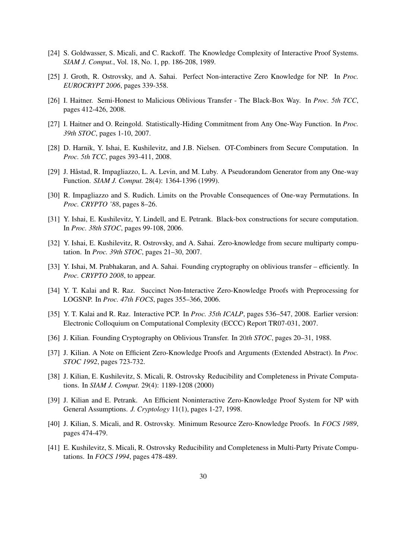- [24] S. Goldwasser, S. Micali, and C. Rackoff. The Knowledge Complexity of Interactive Proof Systems. *SIAM J. Comput.*, Vol. 18, No. 1, pp. 186-208, 1989.
- [25] J. Groth, R. Ostrovsky, and A. Sahai. Perfect Non-interactive Zero Knowledge for NP. In *Proc. EUROCRYPT 2006*, pages 339-358.
- [26] I. Haitner. Semi-Honest to Malicious Oblivious Transfer The Black-Box Way. In *Proc. 5th TCC*, pages 412-426, 2008.
- [27] I. Haitner and O. Reingold. Statistically-Hiding Commitment from Any One-Way Function. In *Proc. 39th STOC*, pages 1-10, 2007.
- [28] D. Harnik, Y. Ishai, E. Kushilevitz, and J.B. Nielsen. OT-Combiners from Secure Computation. In *Proc. 5th TCC*, pages 393-411, 2008.
- [29] J. Håstad, R. Impagliazzo, L. A. Levin, and M. Luby. A Pseudorandom Generator from any One-way Function. *SIAM J. Comput.* 28(4): 1364-1396 (1999).
- [30] R. Impagliazzo and S. Rudich. Limits on the Provable Consequences of One-way Permutations. In *Proc. CRYPTO '88*, pages 8–26.
- [31] Y. Ishai, E. Kushilevitz, Y. Lindell, and E. Petrank. Black-box constructions for secure computation. In *Proc. 38th STOC*, pages 99-108, 2006.
- [32] Y. Ishai, E. Kushilevitz, R. Ostrovsky, and A. Sahai. Zero-knowledge from secure multiparty computation. In *Proc. 39th STOC*, pages 21–30, 2007.
- [33] Y. Ishai, M. Prabhakaran, and A. Sahai. Founding cryptography on oblivious transfer efficiently. In *Proc. CRYPTO 2008*, to appear.
- [34] Y. T. Kalai and R. Raz. Succinct Non-Interactive Zero-Knowledge Proofs with Preprocessing for LOGSNP. In *Proc. 47th FOCS*, pages 355–366, 2006.
- [35] Y. T. Kalai and R. Raz. Interactive PCP. In *Proc. 35th ICALP*, pages 536–547, 2008. Earlier version: Electronic Colloquium on Computational Complexity (ECCC) Report TR07-031, 2007.
- [36] J. Kilian. Founding Cryptography on Oblivious Transfer. In 20*th STOC*, pages 20–31, 1988.
- [37] J. Kilian. A Note on Efficient Zero-Knowledge Proofs and Arguments (Extended Abstract). In *Proc. STOC 1992*, pages 723-732.
- [38] J. Kilian, E. Kushilevitz, S. Micali, R. Ostrovsky Reducibility and Completeness in Private Computations. In *SIAM J. Comput.* 29(4): 1189-1208 (2000)
- [39] J. Kilian and E. Petrank. An Efficient Noninteractive Zero-Knowledge Proof System for NP with General Assumptions. *J. Cryptology* 11(1), pages 1-27, 1998.
- [40] J. Kilian, S. Micali, and R. Ostrovsky. Minimum Resource Zero-Knowledge Proofs. In *FOCS 1989*, pages 474-479.
- [41] E. Kushilevitz, S. Micali, R. Ostrovsky Reducibility and Completeness in Multi-Party Private Computations. In *FOCS 1994*, pages 478-489.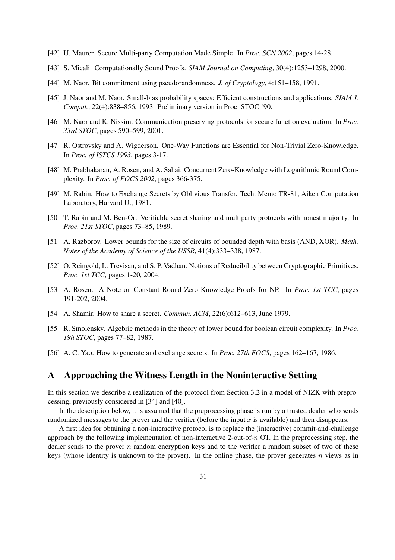- [42] U. Maurer. Secure Multi-party Computation Made Simple. In *Proc. SCN 2002*, pages 14-28.
- [43] S. Micali. Computationally Sound Proofs. *SIAM Journal on Computing*, 30(4):1253–1298, 2000.
- [44] M. Naor. Bit commitment using pseudorandomness. *J. of Cryptology*, 4:151–158, 1991.
- [45] J. Naor and M. Naor. Small-bias probability spaces: Efficient constructions and applications. *SIAM J. Comput.*, 22(4):838–856, 1993. Preliminary version in Proc. STOC '90.
- [46] M. Naor and K. Nissim. Communication preserving protocols for secure function evaluation. In *Proc. 33rd STOC*, pages 590–599, 2001.
- [47] R. Ostrovsky and A. Wigderson. One-Way Functions are Essential for Non-Trivial Zero-Knowledge. In *Proc. of ISTCS 1993*, pages 3-17.
- [48] M. Prabhakaran, A. Rosen, and A. Sahai. Concurrent Zero-Knowledge with Logarithmic Round Complexity. In *Proc. of FOCS 2002*, pages 366-375.
- [49] M. Rabin. How to Exchange Secrets by Oblivious Transfer. Tech. Memo TR-81, Aiken Computation Laboratory, Harvard U., 1981.
- [50] T. Rabin and M. Ben-Or. Verifiable secret sharing and multiparty protocols with honest majority. In *Proc. 21st STOC*, pages 73–85, 1989.
- [51] A. Razborov. Lower bounds for the size of circuits of bounded depth with basis (AND, XOR). *Math. Notes of the Academy of Science of the USSR*, 41(4):333–338, 1987.
- [52] O. Reingold, L. Trevisan, and S. P. Vadhan. Notions of Reducibility between Cryptographic Primitives. *Proc. 1st TCC*, pages 1-20, 2004.
- [53] A. Rosen. A Note on Constant Round Zero Knowledge Proofs for NP. In *Proc. 1st TCC*, pages 191-202, 2004.
- [54] A. Shamir. How to share a secret. *Commun. ACM*, 22(6):612–613, June 1979.
- [55] R. Smolensky. Algebric methods in the theory of lower bound for boolean circuit complexity. In *Proc. 19h STOC*, pages 77–82, 1987.
- [56] A. C. Yao. How to generate and exchange secrets. In *Proc. 27th FOCS*, pages 162–167, 1986.

## A Approaching the Witness Length in the Noninteractive Setting

In this section we describe a realization of the protocol from Section 3.2 in a model of NIZK with preprocessing, previously considered in [34] and [40].

In the description below, it is assumed that the preprocessing phase is run by a trusted dealer who sends randomized messages to the prover and the verifier (before the input  $x$  is available) and then disappears.

A first idea for obtaining a non-interactive protocol is to replace the (interactive) commit-and-challenge approach by the following implementation of non-interactive 2-out-of- $n$  OT. In the preprocessing step, the dealer sends to the prover  $n$  random encryption keys and to the verifier a random subset of two of these keys (whose identity is unknown to the prover). In the online phase, the prover generates  $n$  views as in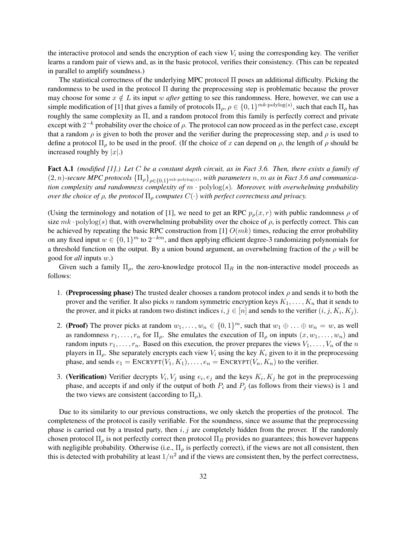the interactive protocol and sends the encryption of each view  $V_i$  using the corresponding key. The verifier learns a random pair of views and, as in the basic protocol, verifies their consistency. (This can be repeated in parallel to amplify soundness.)

The statistical correctness of the underlying MPC protocol  $\Pi$  poses an additional difficulty. Picking the randomness to be used in the protocol Π during the preprocessing step is problematic because the prover may choose for some  $x \notin L$  its input w *after* getting to see this randomness. Here, however, we can use a simple modification of [1] that gives a family of protocols  $\Pi_\rho$ ,  $\rho \in \{0,1\}^{mk \cdot \text{polylog}(s)}$ , such that each  $\Pi_\rho$  has roughly the same complexity as Π, and a random protocol from this family is perfectly correct and private except with  $2^{-k}$  probability over the choice of  $\rho$ . The protocol can now proceed as in the perfect case, except that a random  $\rho$  is given to both the prover and the verifier during the preprocessing step, and  $\rho$  is used to define a protocol  $\Pi_{\rho}$  to be used in the proof. (If the choice of x can depend on  $\rho$ , the length of  $\rho$  should be increased roughly by  $|x|$ .)

Fact A.1 *(modified [1].) Let* C *be a constant depth circuit, as in Fact 3.6. Then, there exists a family of*  $(2, n)$ -secure MPC protocols  ${\{\Pi_\rho\}}_{\rho \in \{0,1\}^{mk \cdot \text{polylog}(s)\}}$ , with parameters n, m as in Fact 3.6 and communica*tion complexity and randomness complexity of* m · polylog(s)*. Moreover, with overwhelming probability over the choice of*  $\rho$ *, the protocol*  $\Pi_{\rho}$  *computes*  $C(\cdot)$  *with perfect correctness and privacy.* 

(Using the terminology and notation of [1], we need to get an RPC  $p_{\rho}(x, r)$  with public randomness  $\rho$  of size  $mk \cdot \text{polylog}(s)$  that, with overwhelming probability over the choice of  $\rho$ , is perfectly correct. This can be achieved by repeating the basic RPC construction from [1]  $O(mk)$  times, reducing the error probability on any fixed input  $w \in \{0,1\}^m$  to  $2^{-km}$ , and then applying efficient degree-3 randomizing polynomials for a threshold function on the output. By a union bound argument, an overwhelming fraction of the  $\rho$  will be good for *all* inputs w.)

Given such a family  $\Pi_{\rho}$ , the zero-knowledge protocol  $\Pi_R$  in the non-interactive model proceeds as follows:

- 1. (Preprocessing phase) The trusted dealer chooses a random protocol index  $\rho$  and sends it to both the prover and the verifier. It also picks n random symmetric encryption keys  $K_1, \ldots, K_n$  that it sends to the prover, and it picks at random two distinct indices  $i, j \in [n]$  and sends to the verifier  $(i, j, K_i, K_j)$ .
- 2. (Proof) The prover picks at random  $w_1, \ldots, w_n \in \{0, 1\}^m$ , such that  $w_1 \oplus \ldots \oplus w_n = w$ , as well as randomness  $r_1, \ldots, r_n$  for  $\Pi_{\rho}$ . She emulates the execution of  $\Pi_{\rho}$  on inputs  $(x, w_1, \ldots, w_n)$  and random inputs  $r_1, \ldots, r_n$ . Based on this execution, the prover prepares the views  $V_1, \ldots, V_n$  of the n players in  $\Pi_{\rho}$ . She separately encrypts each view  $V_i$  using the key  $K_i$  given to it in the preprocessing phase, and sends  $e_1 = \text{ENCRYPT}(V_1, K_1), \dots, e_n = \text{ENCRYPT}(V_n, K_n)$  to the verifier.
- 3. (Verification) Verifier decrypts  $V_i$ ,  $V_j$  using  $e_i$ ,  $e_j$  and the keys  $K_i$ ,  $K_j$  he got in the preprocessing phase, and accepts if and only if the output of both  $P_i$  and  $P_j$  (as follows from their views) is 1 and the two views are consistent (according to  $\Pi_{\rho}$ ).

Due to its similarity to our previous constructions, we only sketch the properties of the protocol. The completeness of the protocol is easily verifiable. For the soundness, since we assume that the preprocessing phase is carried out by a trusted party, then  $i, j$  are completely hidden from the prover. If the randomly chosen protocol  $\Pi_{\rho}$  is not perfectly correct then protocol  $\Pi_R$  provides no guarantees; this however happens with negligible probability. Otherwise (i.e.,  $\Pi_{\rho}$  is perfectly correct), if the views are not all consistent, then this is detected with probability at least  $1/n^2$  and if the views are consistent then, by the perfect correctness,